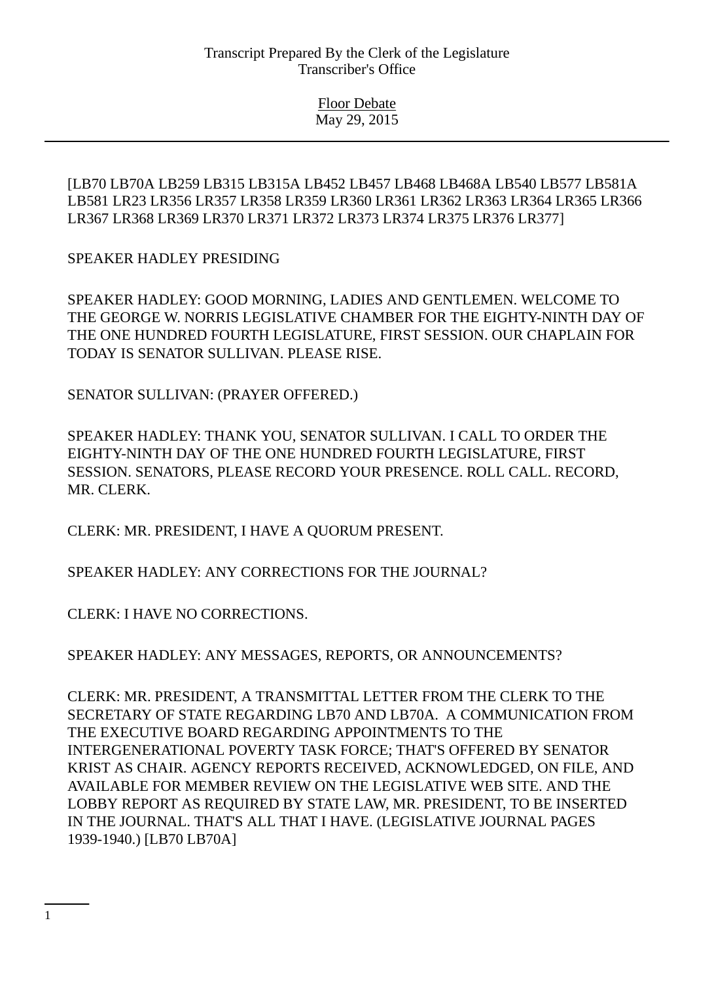Floor Debate May 29, 2015

[LB70 LB70A LB259 LB315 LB315A LB452 LB457 LB468 LB468A LB540 LB577 LB581A LB581 LR23 LR356 LR357 LR358 LR359 LR360 LR361 LR362 LR363 LR364 LR365 LR366 LR367 LR368 LR369 LR370 LR371 LR372 LR373 LR374 LR375 LR376 LR377]

SPEAKER HADLEY PRESIDING

SPEAKER HADLEY: GOOD MORNING, LADIES AND GENTLEMEN. WELCOME TO THE GEORGE W. NORRIS LEGISLATIVE CHAMBER FOR THE EIGHTY-NINTH DAY OF THE ONE HUNDRED FOURTH LEGISLATURE, FIRST SESSION. OUR CHAPLAIN FOR TODAY IS SENATOR SULLIVAN. PLEASE RISE.

SENATOR SULLIVAN: (PRAYER OFFERED.)

SPEAKER HADLEY: THANK YOU, SENATOR SULLIVAN. I CALL TO ORDER THE EIGHTY-NINTH DAY OF THE ONE HUNDRED FOURTH LEGISLATURE, FIRST SESSION. SENATORS, PLEASE RECORD YOUR PRESENCE. ROLL CALL. RECORD, MR. CLERK.

CLERK: MR. PRESIDENT, I HAVE A QUORUM PRESENT.

SPEAKER HADLEY: ANY CORRECTIONS FOR THE JOURNAL?

CLERK: I HAVE NO CORRECTIONS.

SPEAKER HADLEY: ANY MESSAGES, REPORTS, OR ANNOUNCEMENTS?

CLERK: MR. PRESIDENT, A TRANSMITTAL LETTER FROM THE CLERK TO THE SECRETARY OF STATE REGARDING LB70 AND LB70A. A COMMUNICATION FROM THE EXECUTIVE BOARD REGARDING APPOINTMENTS TO THE INTERGENERATIONAL POVERTY TASK FORCE; THAT'S OFFERED BY SENATOR KRIST AS CHAIR. AGENCY REPORTS RECEIVED, ACKNOWLEDGED, ON FILE, AND AVAILABLE FOR MEMBER REVIEW ON THE LEGISLATIVE WEB SITE. AND THE LOBBY REPORT AS REQUIRED BY STATE LAW, MR. PRESIDENT, TO BE INSERTED IN THE JOURNAL. THAT'S ALL THAT I HAVE. (LEGISLATIVE JOURNAL PAGES 1939-1940.) [LB70 LB70A]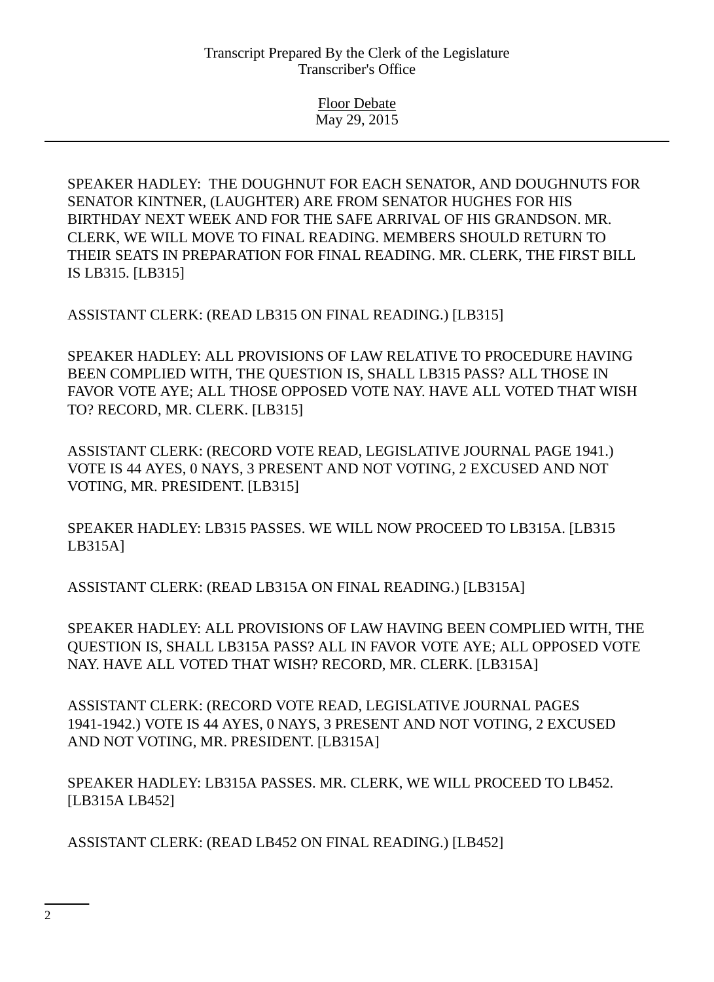Floor Debate May 29, 2015

SPEAKER HADLEY: THE DOUGHNUT FOR EACH SENATOR, AND DOUGHNUTS FOR SENATOR KINTNER, (LAUGHTER) ARE FROM SENATOR HUGHES FOR HIS BIRTHDAY NEXT WEEK AND FOR THE SAFE ARRIVAL OF HIS GRANDSON. MR. CLERK, WE WILL MOVE TO FINAL READING. MEMBERS SHOULD RETURN TO THEIR SEATS IN PREPARATION FOR FINAL READING. MR. CLERK, THE FIRST BILL IS LB315. [LB315]

ASSISTANT CLERK: (READ LB315 ON FINAL READING.) [LB315]

SPEAKER HADLEY: ALL PROVISIONS OF LAW RELATIVE TO PROCEDURE HAVING BEEN COMPLIED WITH, THE QUESTION IS, SHALL LB315 PASS? ALL THOSE IN FAVOR VOTE AYE; ALL THOSE OPPOSED VOTE NAY. HAVE ALL VOTED THAT WISH TO? RECORD, MR. CLERK. [LB315]

ASSISTANT CLERK: (RECORD VOTE READ, LEGISLATIVE JOURNAL PAGE 1941.) VOTE IS 44 AYES, 0 NAYS, 3 PRESENT AND NOT VOTING, 2 EXCUSED AND NOT VOTING, MR. PRESIDENT. [LB315]

SPEAKER HADLEY: LB315 PASSES. WE WILL NOW PROCEED TO LB315A. [LB315 LB315A]

ASSISTANT CLERK: (READ LB315A ON FINAL READING.) [LB315A]

SPEAKER HADLEY: ALL PROVISIONS OF LAW HAVING BEEN COMPLIED WITH, THE QUESTION IS, SHALL LB315A PASS? ALL IN FAVOR VOTE AYE; ALL OPPOSED VOTE NAY. HAVE ALL VOTED THAT WISH? RECORD, MR. CLERK. [LB315A]

ASSISTANT CLERK: (RECORD VOTE READ, LEGISLATIVE JOURNAL PAGES 1941-1942.) VOTE IS 44 AYES, 0 NAYS, 3 PRESENT AND NOT VOTING, 2 EXCUSED AND NOT VOTING, MR. PRESIDENT. [LB315A]

SPEAKER HADLEY: LB315A PASSES. MR. CLERK, WE WILL PROCEED TO LB452. [LB315A LB452]

ASSISTANT CLERK: (READ LB452 ON FINAL READING.) [LB452]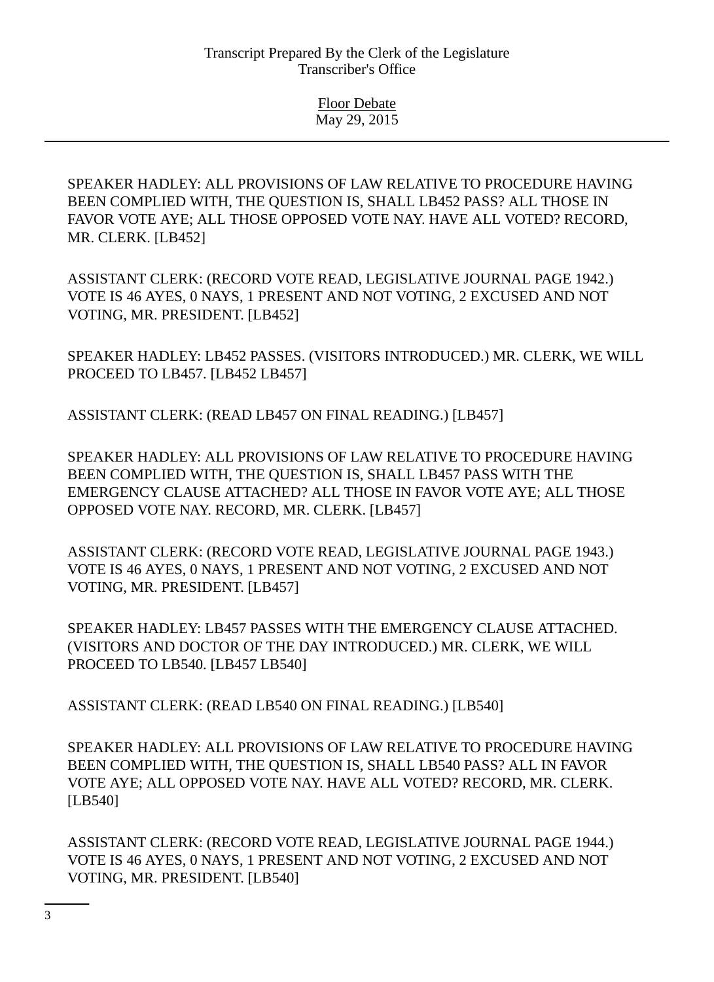SPEAKER HADLEY: ALL PROVISIONS OF LAW RELATIVE TO PROCEDURE HAVING BEEN COMPLIED WITH, THE QUESTION IS, SHALL LB452 PASS? ALL THOSE IN FAVOR VOTE AYE; ALL THOSE OPPOSED VOTE NAY. HAVE ALL VOTED? RECORD, MR. CLERK. [LB452]

ASSISTANT CLERK: (RECORD VOTE READ, LEGISLATIVE JOURNAL PAGE 1942.) VOTE IS 46 AYES, 0 NAYS, 1 PRESENT AND NOT VOTING, 2 EXCUSED AND NOT VOTING, MR. PRESIDENT. [LB452]

SPEAKER HADLEY: LB452 PASSES. (VISITORS INTRODUCED.) MR. CLERK, WE WILL PROCEED TO LB457. [LB452 LB457]

ASSISTANT CLERK: (READ LB457 ON FINAL READING.) [LB457]

SPEAKER HADLEY: ALL PROVISIONS OF LAW RELATIVE TO PROCEDURE HAVING BEEN COMPLIED WITH, THE QUESTION IS, SHALL LB457 PASS WITH THE EMERGENCY CLAUSE ATTACHED? ALL THOSE IN FAVOR VOTE AYE; ALL THOSE OPPOSED VOTE NAY. RECORD, MR. CLERK. [LB457]

ASSISTANT CLERK: (RECORD VOTE READ, LEGISLATIVE JOURNAL PAGE 1943.) VOTE IS 46 AYES, 0 NAYS, 1 PRESENT AND NOT VOTING, 2 EXCUSED AND NOT VOTING, MR. PRESIDENT. [LB457]

SPEAKER HADLEY: LB457 PASSES WITH THE EMERGENCY CLAUSE ATTACHED. (VISITORS AND DOCTOR OF THE DAY INTRODUCED.) MR. CLERK, WE WILL PROCEED TO LB540. [LB457 LB540]

ASSISTANT CLERK: (READ LB540 ON FINAL READING.) [LB540]

SPEAKER HADLEY: ALL PROVISIONS OF LAW RELATIVE TO PROCEDURE HAVING BEEN COMPLIED WITH, THE QUESTION IS, SHALL LB540 PASS? ALL IN FAVOR VOTE AYE; ALL OPPOSED VOTE NAY. HAVE ALL VOTED? RECORD, MR. CLERK. [LB540]

ASSISTANT CLERK: (RECORD VOTE READ, LEGISLATIVE JOURNAL PAGE 1944.) VOTE IS 46 AYES, 0 NAYS, 1 PRESENT AND NOT VOTING, 2 EXCUSED AND NOT VOTING, MR. PRESIDENT. [LB540]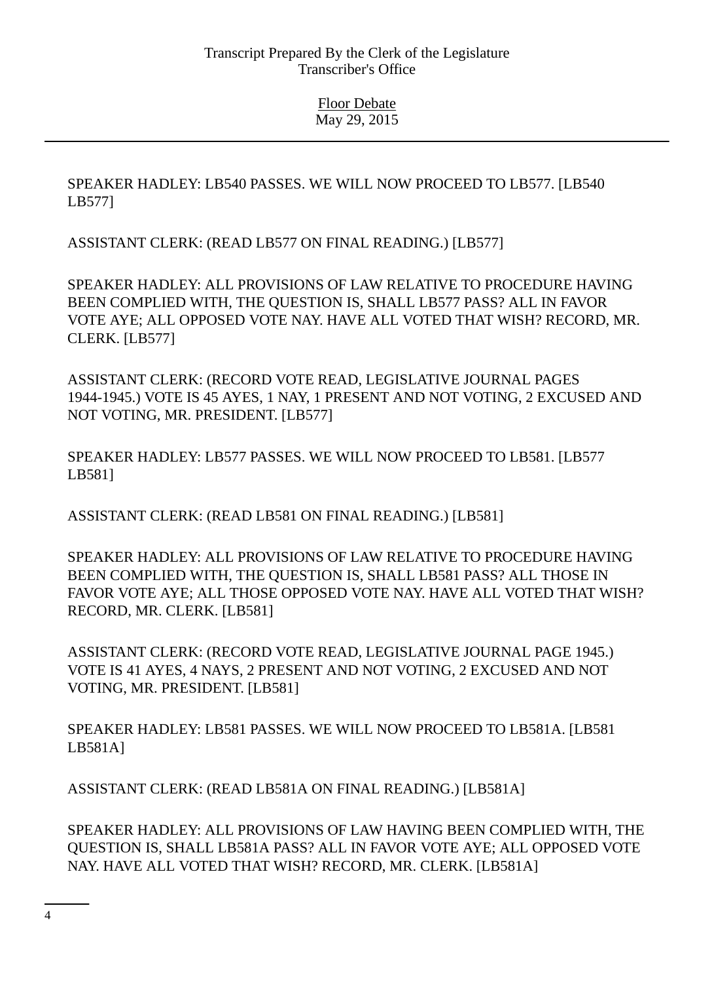SPEAKER HADLEY: LB540 PASSES. WE WILL NOW PROCEED TO LB577. [LB540 LB577]

ASSISTANT CLERK: (READ LB577 ON FINAL READING.) [LB577]

SPEAKER HADLEY: ALL PROVISIONS OF LAW RELATIVE TO PROCEDURE HAVING BEEN COMPLIED WITH, THE QUESTION IS, SHALL LB577 PASS? ALL IN FAVOR VOTE AYE; ALL OPPOSED VOTE NAY. HAVE ALL VOTED THAT WISH? RECORD, MR. CLERK. [LB577]

ASSISTANT CLERK: (RECORD VOTE READ, LEGISLATIVE JOURNAL PAGES 1944-1945.) VOTE IS 45 AYES, 1 NAY, 1 PRESENT AND NOT VOTING, 2 EXCUSED AND NOT VOTING, MR. PRESIDENT. [LB577]

SPEAKER HADLEY: LB577 PASSES. WE WILL NOW PROCEED TO LB581. [LB577 LB581]

ASSISTANT CLERK: (READ LB581 ON FINAL READING.) [LB581]

SPEAKER HADLEY: ALL PROVISIONS OF LAW RELATIVE TO PROCEDURE HAVING BEEN COMPLIED WITH, THE QUESTION IS, SHALL LB581 PASS? ALL THOSE IN FAVOR VOTE AYE; ALL THOSE OPPOSED VOTE NAY. HAVE ALL VOTED THAT WISH? RECORD, MR. CLERK. [LB581]

ASSISTANT CLERK: (RECORD VOTE READ, LEGISLATIVE JOURNAL PAGE 1945.) VOTE IS 41 AYES, 4 NAYS, 2 PRESENT AND NOT VOTING, 2 EXCUSED AND NOT VOTING, MR. PRESIDENT. [LB581]

SPEAKER HADLEY: LB581 PASSES. WE WILL NOW PROCEED TO LB581A. [LB581 LB581A]

ASSISTANT CLERK: (READ LB581A ON FINAL READING.) [LB581A]

SPEAKER HADLEY: ALL PROVISIONS OF LAW HAVING BEEN COMPLIED WITH, THE QUESTION IS, SHALL LB581A PASS? ALL IN FAVOR VOTE AYE; ALL OPPOSED VOTE NAY. HAVE ALL VOTED THAT WISH? RECORD, MR. CLERK. [LB581A]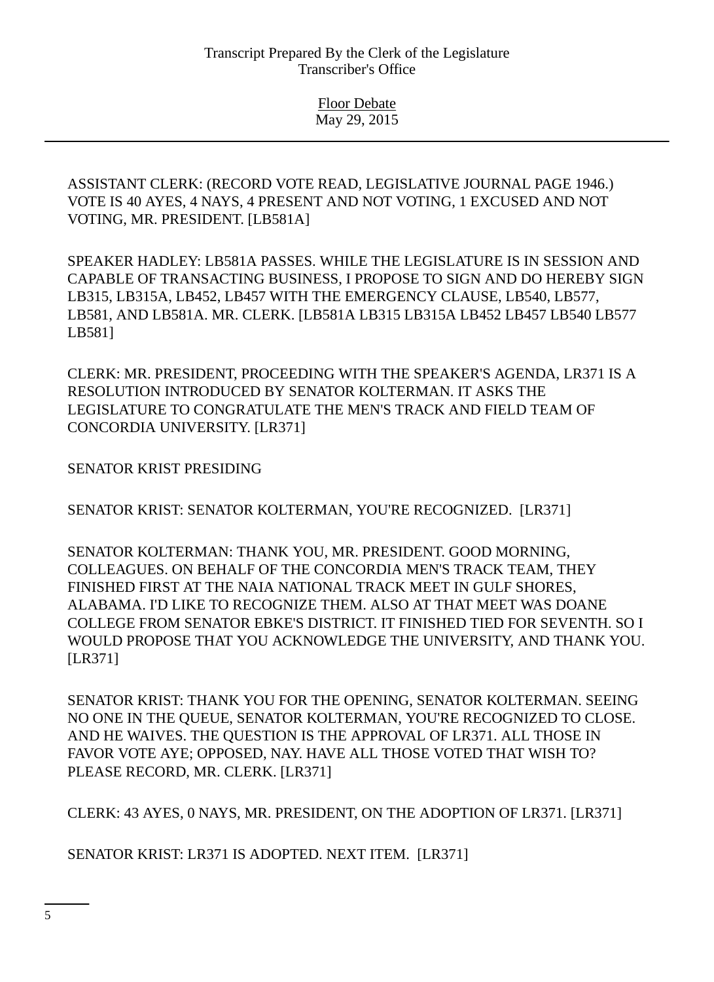> Floor Debate May 29, 2015

ASSISTANT CLERK: (RECORD VOTE READ, LEGISLATIVE JOURNAL PAGE 1946.) VOTE IS 40 AYES, 4 NAYS, 4 PRESENT AND NOT VOTING, 1 EXCUSED AND NOT VOTING, MR. PRESIDENT. [LB581A]

SPEAKER HADLEY: LB581A PASSES. WHILE THE LEGISLATURE IS IN SESSION AND CAPABLE OF TRANSACTING BUSINESS, I PROPOSE TO SIGN AND DO HEREBY SIGN LB315, LB315A, LB452, LB457 WITH THE EMERGENCY CLAUSE, LB540, LB577, LB581, AND LB581A. MR. CLERK. [LB581A LB315 LB315A LB452 LB457 LB540 LB577 LB581]

CLERK: MR. PRESIDENT, PROCEEDING WITH THE SPEAKER'S AGENDA, LR371 IS A RESOLUTION INTRODUCED BY SENATOR KOLTERMAN. IT ASKS THE LEGISLATURE TO CONGRATULATE THE MEN'S TRACK AND FIELD TEAM OF CONCORDIA UNIVERSITY. [LR371]

SENATOR KRIST PRESIDING

SENATOR KRIST: SENATOR KOLTERMAN, YOU'RE RECOGNIZED. [LR371]

SENATOR KOLTERMAN: THANK YOU, MR. PRESIDENT. GOOD MORNING, COLLEAGUES. ON BEHALF OF THE CONCORDIA MEN'S TRACK TEAM, THEY FINISHED FIRST AT THE NAIA NATIONAL TRACK MEET IN GULF SHORES, ALABAMA. I'D LIKE TO RECOGNIZE THEM. ALSO AT THAT MEET WAS DOANE COLLEGE FROM SENATOR EBKE'S DISTRICT. IT FINISHED TIED FOR SEVENTH. SO I WOULD PROPOSE THAT YOU ACKNOWLEDGE THE UNIVERSITY, AND THANK YOU. [LR371]

SENATOR KRIST: THANK YOU FOR THE OPENING, SENATOR KOLTERMAN. SEEING NO ONE IN THE QUEUE, SENATOR KOLTERMAN, YOU'RE RECOGNIZED TO CLOSE. AND HE WAIVES. THE QUESTION IS THE APPROVAL OF LR371. ALL THOSE IN FAVOR VOTE AYE; OPPOSED, NAY. HAVE ALL THOSE VOTED THAT WISH TO? PLEASE RECORD, MR. CLERK. [LR371]

CLERK: 43 AYES, 0 NAYS, MR. PRESIDENT, ON THE ADOPTION OF LR371. [LR371]

SENATOR KRIST: LR371 IS ADOPTED. NEXT ITEM. [LR371]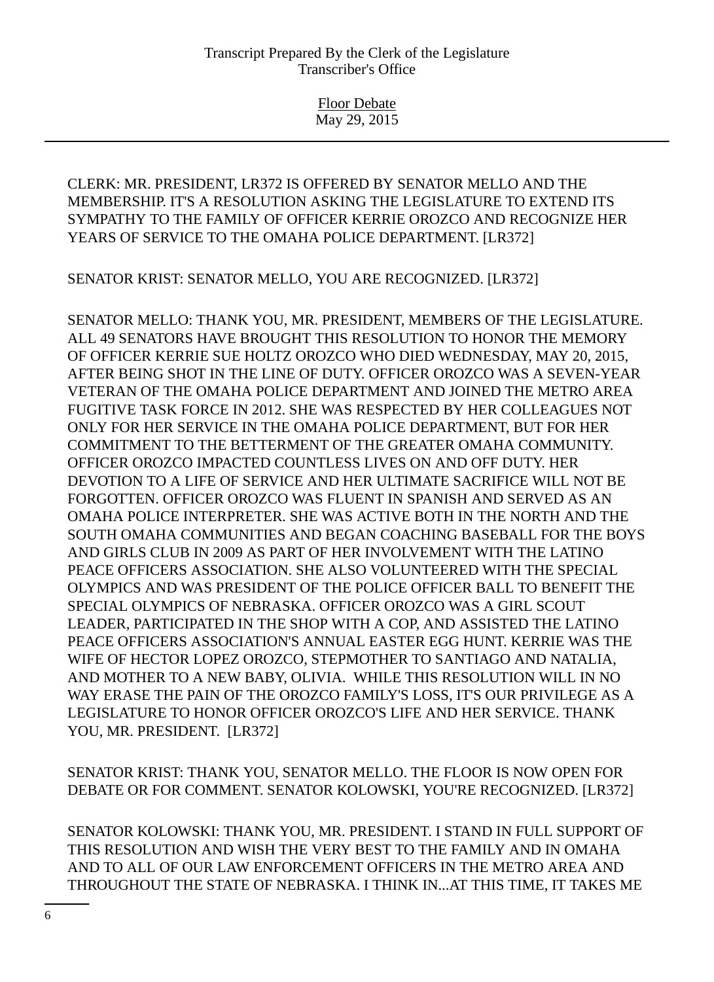Floor Debate May 29, 2015

CLERK: MR. PRESIDENT, LR372 IS OFFERED BY SENATOR MELLO AND THE MEMBERSHIP. IT'S A RESOLUTION ASKING THE LEGISLATURE TO EXTEND ITS SYMPATHY TO THE FAMILY OF OFFICER KERRIE OROZCO AND RECOGNIZE HER YEARS OF SERVICE TO THE OMAHA POLICE DEPARTMENT. [LR372]

SENATOR KRIST: SENATOR MELLO, YOU ARE RECOGNIZED. [LR372]

SENATOR MELLO: THANK YOU, MR. PRESIDENT, MEMBERS OF THE LEGISLATURE. ALL 49 SENATORS HAVE BROUGHT THIS RESOLUTION TO HONOR THE MEMORY OF OFFICER KERRIE SUE HOLTZ OROZCO WHO DIED WEDNESDAY, MAY 20, 2015, AFTER BEING SHOT IN THE LINE OF DUTY. OFFICER OROZCO WAS A SEVEN-YEAR VETERAN OF THE OMAHA POLICE DEPARTMENT AND JOINED THE METRO AREA FUGITIVE TASK FORCE IN 2012. SHE WAS RESPECTED BY HER COLLEAGUES NOT ONLY FOR HER SERVICE IN THE OMAHA POLICE DEPARTMENT, BUT FOR HER COMMITMENT TO THE BETTERMENT OF THE GREATER OMAHA COMMUNITY. OFFICER OROZCO IMPACTED COUNTLESS LIVES ON AND OFF DUTY. HER DEVOTION TO A LIFE OF SERVICE AND HER ULTIMATE SACRIFICE WILL NOT BE FORGOTTEN. OFFICER OROZCO WAS FLUENT IN SPANISH AND SERVED AS AN OMAHA POLICE INTERPRETER. SHE WAS ACTIVE BOTH IN THE NORTH AND THE SOUTH OMAHA COMMUNITIES AND BEGAN COACHING BASEBALL FOR THE BOYS AND GIRLS CLUB IN 2009 AS PART OF HER INVOLVEMENT WITH THE LATINO PEACE OFFICERS ASSOCIATION. SHE ALSO VOLUNTEERED WITH THE SPECIAL OLYMPICS AND WAS PRESIDENT OF THE POLICE OFFICER BALL TO BENEFIT THE SPECIAL OLYMPICS OF NEBRASKA. OFFICER OROZCO WAS A GIRL SCOUT LEADER, PARTICIPATED IN THE SHOP WITH A COP, AND ASSISTED THE LATINO PEACE OFFICERS ASSOCIATION'S ANNUAL EASTER EGG HUNT. KERRIE WAS THE WIFE OF HECTOR LOPEZ OROZCO, STEPMOTHER TO SANTIAGO AND NATALIA, AND MOTHER TO A NEW BABY, OLIVIA. WHILE THIS RESOLUTION WILL IN NO WAY ERASE THE PAIN OF THE OROZCO FAMILY'S LOSS, IT'S OUR PRIVILEGE AS A LEGISLATURE TO HONOR OFFICER OROZCO'S LIFE AND HER SERVICE. THANK YOU, MR. PRESIDENT. [LR372]

SENATOR KRIST: THANK YOU, SENATOR MELLO. THE FLOOR IS NOW OPEN FOR DEBATE OR FOR COMMENT. SENATOR KOLOWSKI, YOU'RE RECOGNIZED. [LR372]

SENATOR KOLOWSKI: THANK YOU, MR. PRESIDENT. I STAND IN FULL SUPPORT OF THIS RESOLUTION AND WISH THE VERY BEST TO THE FAMILY AND IN OMAHA AND TO ALL OF OUR LAW ENFORCEMENT OFFICERS IN THE METRO AREA AND THROUGHOUT THE STATE OF NEBRASKA. I THINK IN...AT THIS TIME, IT TAKES ME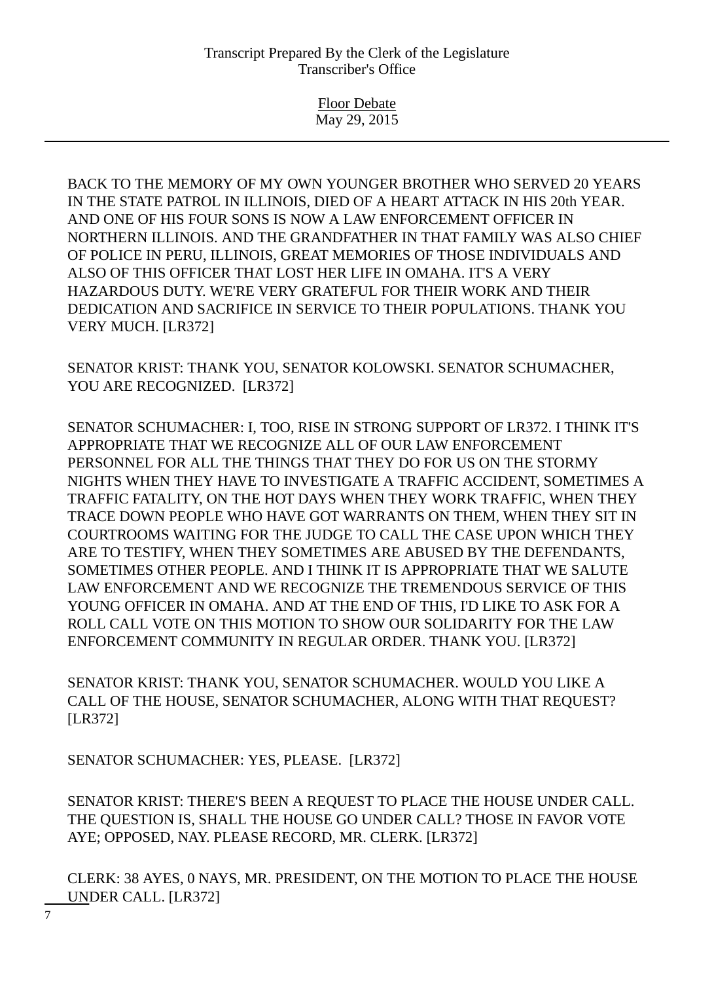Floor Debate May 29, 2015

BACK TO THE MEMORY OF MY OWN YOUNGER BROTHER WHO SERVED 20 YEARS IN THE STATE PATROL IN ILLINOIS, DIED OF A HEART ATTACK IN HIS 20th YEAR. AND ONE OF HIS FOUR SONS IS NOW A LAW ENFORCEMENT OFFICER IN NORTHERN ILLINOIS. AND THE GRANDFATHER IN THAT FAMILY WAS ALSO CHIEF OF POLICE IN PERU, ILLINOIS, GREAT MEMORIES OF THOSE INDIVIDUALS AND ALSO OF THIS OFFICER THAT LOST HER LIFE IN OMAHA. IT'S A VERY HAZARDOUS DUTY. WE'RE VERY GRATEFUL FOR THEIR WORK AND THEIR DEDICATION AND SACRIFICE IN SERVICE TO THEIR POPULATIONS. THANK YOU VERY MUCH. [LR372]

SENATOR KRIST: THANK YOU, SENATOR KOLOWSKI. SENATOR SCHUMACHER, YOU ARE RECOGNIZED. [LR372]

SENATOR SCHUMACHER: I, TOO, RISE IN STRONG SUPPORT OF LR372. I THINK IT'S APPROPRIATE THAT WE RECOGNIZE ALL OF OUR LAW ENFORCEMENT PERSONNEL FOR ALL THE THINGS THAT THEY DO FOR US ON THE STORMY NIGHTS WHEN THEY HAVE TO INVESTIGATE A TRAFFIC ACCIDENT, SOMETIMES A TRAFFIC FATALITY, ON THE HOT DAYS WHEN THEY WORK TRAFFIC, WHEN THEY TRACE DOWN PEOPLE WHO HAVE GOT WARRANTS ON THEM, WHEN THEY SIT IN COURTROOMS WAITING FOR THE JUDGE TO CALL THE CASE UPON WHICH THEY ARE TO TESTIFY, WHEN THEY SOMETIMES ARE ABUSED BY THE DEFENDANTS, SOMETIMES OTHER PEOPLE. AND I THINK IT IS APPROPRIATE THAT WE SALUTE LAW ENFORCEMENT AND WE RECOGNIZE THE TREMENDOUS SERVICE OF THIS YOUNG OFFICER IN OMAHA. AND AT THE END OF THIS, I'D LIKE TO ASK FOR A ROLL CALL VOTE ON THIS MOTION TO SHOW OUR SOLIDARITY FOR THE LAW ENFORCEMENT COMMUNITY IN REGULAR ORDER. THANK YOU. [LR372]

SENATOR KRIST: THANK YOU, SENATOR SCHUMACHER. WOULD YOU LIKE A CALL OF THE HOUSE, SENATOR SCHUMACHER, ALONG WITH THAT REQUEST? [LR372]

SENATOR SCHUMACHER: YES, PLEASE. [LR372]

SENATOR KRIST: THERE'S BEEN A REQUEST TO PLACE THE HOUSE UNDER CALL. THE QUESTION IS, SHALL THE HOUSE GO UNDER CALL? THOSE IN FAVOR VOTE AYE; OPPOSED, NAY. PLEASE RECORD, MR. CLERK. [LR372]

CLERK: 38 AYES, 0 NAYS, MR. PRESIDENT, ON THE MOTION TO PLACE THE HOUSE UNDER CALL. [LR372]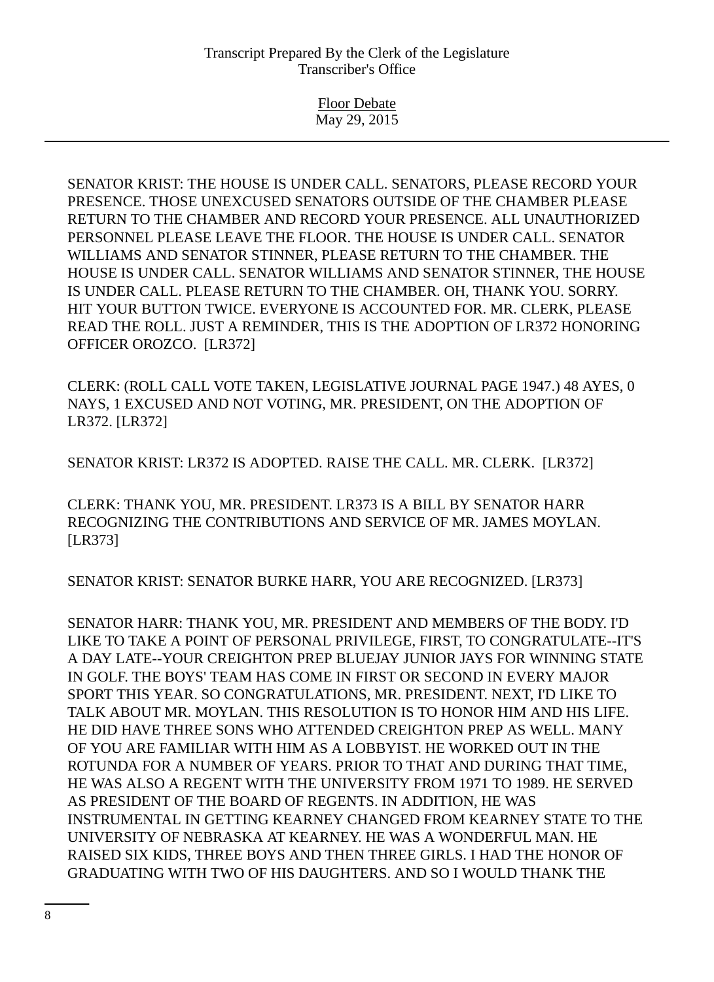Floor Debate May 29, 2015

SENATOR KRIST: THE HOUSE IS UNDER CALL. SENATORS, PLEASE RECORD YOUR PRESENCE. THOSE UNEXCUSED SENATORS OUTSIDE OF THE CHAMBER PLEASE RETURN TO THE CHAMBER AND RECORD YOUR PRESENCE. ALL UNAUTHORIZED PERSONNEL PLEASE LEAVE THE FLOOR. THE HOUSE IS UNDER CALL. SENATOR WILLIAMS AND SENATOR STINNER, PLEASE RETURN TO THE CHAMBER. THE HOUSE IS UNDER CALL. SENATOR WILLIAMS AND SENATOR STINNER, THE HOUSE IS UNDER CALL. PLEASE RETURN TO THE CHAMBER. OH, THANK YOU. SORRY. HIT YOUR BUTTON TWICE. EVERYONE IS ACCOUNTED FOR. MR. CLERK, PLEASE READ THE ROLL. JUST A REMINDER, THIS IS THE ADOPTION OF LR372 HONORING OFFICER OROZCO. [LR372]

CLERK: (ROLL CALL VOTE TAKEN, LEGISLATIVE JOURNAL PAGE 1947.) 48 AYES, 0 NAYS, 1 EXCUSED AND NOT VOTING, MR. PRESIDENT, ON THE ADOPTION OF LR372. [LR372]

SENATOR KRIST: LR372 IS ADOPTED. RAISE THE CALL. MR. CLERK. [LR372]

CLERK: THANK YOU, MR. PRESIDENT. LR373 IS A BILL BY SENATOR HARR RECOGNIZING THE CONTRIBUTIONS AND SERVICE OF MR. JAMES MOYLAN. [LR373]

SENATOR KRIST: SENATOR BURKE HARR, YOU ARE RECOGNIZED. [LR373]

SENATOR HARR: THANK YOU, MR. PRESIDENT AND MEMBERS OF THE BODY. I'D LIKE TO TAKE A POINT OF PERSONAL PRIVILEGE, FIRST, TO CONGRATULATE--IT'S A DAY LATE--YOUR CREIGHTON PREP BLUEJAY JUNIOR JAYS FOR WINNING STATE IN GOLF. THE BOYS' TEAM HAS COME IN FIRST OR SECOND IN EVERY MAJOR SPORT THIS YEAR. SO CONGRATULATIONS, MR. PRESIDENT. NEXT, I'D LIKE TO TALK ABOUT MR. MOYLAN. THIS RESOLUTION IS TO HONOR HIM AND HIS LIFE. HE DID HAVE THREE SONS WHO ATTENDED CREIGHTON PREP AS WELL. MANY OF YOU ARE FAMILIAR WITH HIM AS A LOBBYIST. HE WORKED OUT IN THE ROTUNDA FOR A NUMBER OF YEARS. PRIOR TO THAT AND DURING THAT TIME, HE WAS ALSO A REGENT WITH THE UNIVERSITY FROM 1971 TO 1989. HE SERVED AS PRESIDENT OF THE BOARD OF REGENTS. IN ADDITION, HE WAS INSTRUMENTAL IN GETTING KEARNEY CHANGED FROM KEARNEY STATE TO THE UNIVERSITY OF NEBRASKA AT KEARNEY. HE WAS A WONDERFUL MAN. HE RAISED SIX KIDS, THREE BOYS AND THEN THREE GIRLS. I HAD THE HONOR OF GRADUATING WITH TWO OF HIS DAUGHTERS. AND SO I WOULD THANK THE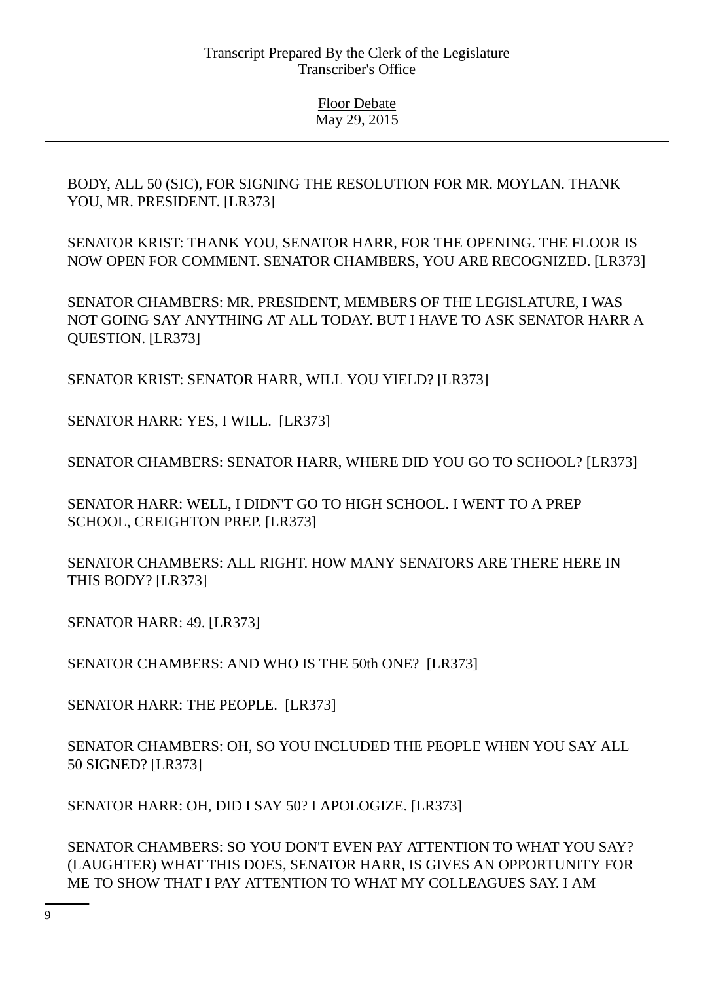BODY, ALL 50 (SIC), FOR SIGNING THE RESOLUTION FOR MR. MOYLAN. THANK YOU, MR. PRESIDENT. [LR373]

SENATOR KRIST: THANK YOU, SENATOR HARR, FOR THE OPENING. THE FLOOR IS NOW OPEN FOR COMMENT. SENATOR CHAMBERS, YOU ARE RECOGNIZED. [LR373]

SENATOR CHAMBERS: MR. PRESIDENT, MEMBERS OF THE LEGISLATURE, I WAS NOT GOING SAY ANYTHING AT ALL TODAY. BUT I HAVE TO ASK SENATOR HARR A QUESTION. [LR373]

SENATOR KRIST: SENATOR HARR, WILL YOU YIELD? [LR373]

SENATOR HARR: YES, I WILL. [LR373]

SENATOR CHAMBERS: SENATOR HARR, WHERE DID YOU GO TO SCHOOL? [LR373]

SENATOR HARR: WELL, I DIDN'T GO TO HIGH SCHOOL. I WENT TO A PREP SCHOOL, CREIGHTON PREP. [LR373]

SENATOR CHAMBERS: ALL RIGHT. HOW MANY SENATORS ARE THERE HERE IN THIS BODY? [LR373]

SENATOR HARR: 49. [LR373]

SENATOR CHAMBERS: AND WHO IS THE 50th ONE? [LR373]

SENATOR HARR: THE PEOPLE. [LR373]

SENATOR CHAMBERS: OH, SO YOU INCLUDED THE PEOPLE WHEN YOU SAY ALL 50 SIGNED? [LR373]

SENATOR HARR: OH, DID I SAY 50? I APOLOGIZE. [LR373]

SENATOR CHAMBERS: SO YOU DON'T EVEN PAY ATTENTION TO WHAT YOU SAY? (LAUGHTER) WHAT THIS DOES, SENATOR HARR, IS GIVES AN OPPORTUNITY FOR ME TO SHOW THAT I PAY ATTENTION TO WHAT MY COLLEAGUES SAY. I AM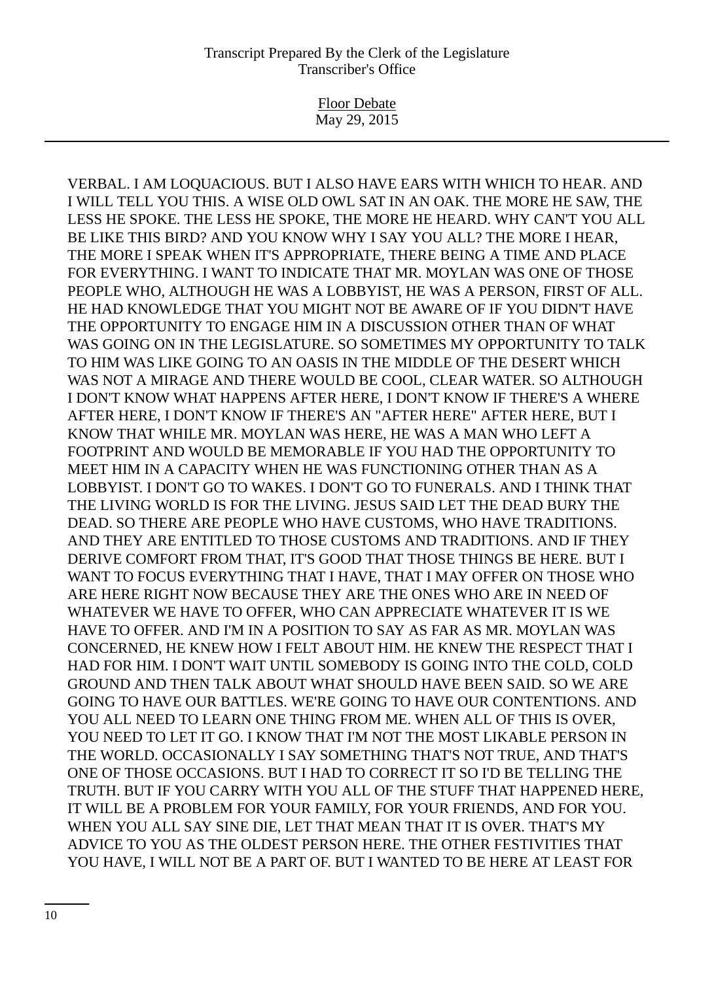Floor Debate May 29, 2015

VERBAL. I AM LOQUACIOUS. BUT I ALSO HAVE EARS WITH WHICH TO HEAR. AND I WILL TELL YOU THIS. A WISE OLD OWL SAT IN AN OAK. THE MORE HE SAW, THE LESS HE SPOKE. THE LESS HE SPOKE, THE MORE HE HEARD. WHY CAN'T YOU ALL BE LIKE THIS BIRD? AND YOU KNOW WHY I SAY YOU ALL? THE MORE I HEAR, THE MORE I SPEAK WHEN IT'S APPROPRIATE, THERE BEING A TIME AND PLACE FOR EVERYTHING. I WANT TO INDICATE THAT MR. MOYLAN WAS ONE OF THOSE PEOPLE WHO, ALTHOUGH HE WAS A LOBBYIST, HE WAS A PERSON, FIRST OF ALL. HE HAD KNOWLEDGE THAT YOU MIGHT NOT BE AWARE OF IF YOU DIDN'T HAVE THE OPPORTUNITY TO ENGAGE HIM IN A DISCUSSION OTHER THAN OF WHAT WAS GOING ON IN THE LEGISLATURE. SO SOMETIMES MY OPPORTUNITY TO TALK TO HIM WAS LIKE GOING TO AN OASIS IN THE MIDDLE OF THE DESERT WHICH WAS NOT A MIRAGE AND THERE WOULD BE COOL, CLEAR WATER. SO ALTHOUGH I DON'T KNOW WHAT HAPPENS AFTER HERE, I DON'T KNOW IF THERE'S A WHERE AFTER HERE, I DON'T KNOW IF THERE'S AN "AFTER HERE" AFTER HERE, BUT I KNOW THAT WHILE MR. MOYLAN WAS HERE, HE WAS A MAN WHO LEFT A FOOTPRINT AND WOULD BE MEMORABLE IF YOU HAD THE OPPORTUNITY TO MEET HIM IN A CAPACITY WHEN HE WAS FUNCTIONING OTHER THAN AS A LOBBYIST. I DON'T GO TO WAKES. I DON'T GO TO FUNERALS. AND I THINK THAT THE LIVING WORLD IS FOR THE LIVING. JESUS SAID LET THE DEAD BURY THE DEAD. SO THERE ARE PEOPLE WHO HAVE CUSTOMS, WHO HAVE TRADITIONS. AND THEY ARE ENTITLED TO THOSE CUSTOMS AND TRADITIONS. AND IF THEY DERIVE COMFORT FROM THAT, IT'S GOOD THAT THOSE THINGS BE HERE. BUT I WANT TO FOCUS EVERYTHING THAT I HAVE, THAT I MAY OFFER ON THOSE WHO ARE HERE RIGHT NOW BECAUSE THEY ARE THE ONES WHO ARE IN NEED OF WHATEVER WE HAVE TO OFFER, WHO CAN APPRECIATE WHATEVER IT IS WE HAVE TO OFFER. AND I'M IN A POSITION TO SAY AS FAR AS MR. MOYLAN WAS CONCERNED, HE KNEW HOW I FELT ABOUT HIM. HE KNEW THE RESPECT THAT I HAD FOR HIM. I DON'T WAIT UNTIL SOMEBODY IS GOING INTO THE COLD, COLD GROUND AND THEN TALK ABOUT WHAT SHOULD HAVE BEEN SAID. SO WE ARE GOING TO HAVE OUR BATTLES. WE'RE GOING TO HAVE OUR CONTENTIONS. AND YOU ALL NEED TO LEARN ONE THING FROM ME. WHEN ALL OF THIS IS OVER, YOU NEED TO LET IT GO. I KNOW THAT I'M NOT THE MOST LIKABLE PERSON IN THE WORLD. OCCASIONALLY I SAY SOMETHING THAT'S NOT TRUE, AND THAT'S ONE OF THOSE OCCASIONS. BUT I HAD TO CORRECT IT SO I'D BE TELLING THE TRUTH. BUT IF YOU CARRY WITH YOU ALL OF THE STUFF THAT HAPPENED HERE, IT WILL BE A PROBLEM FOR YOUR FAMILY, FOR YOUR FRIENDS, AND FOR YOU. WHEN YOU ALL SAY SINE DIE, LET THAT MEAN THAT IT IS OVER. THAT'S MY ADVICE TO YOU AS THE OLDEST PERSON HERE. THE OTHER FESTIVITIES THAT YOU HAVE, I WILL NOT BE A PART OF. BUT I WANTED TO BE HERE AT LEAST FOR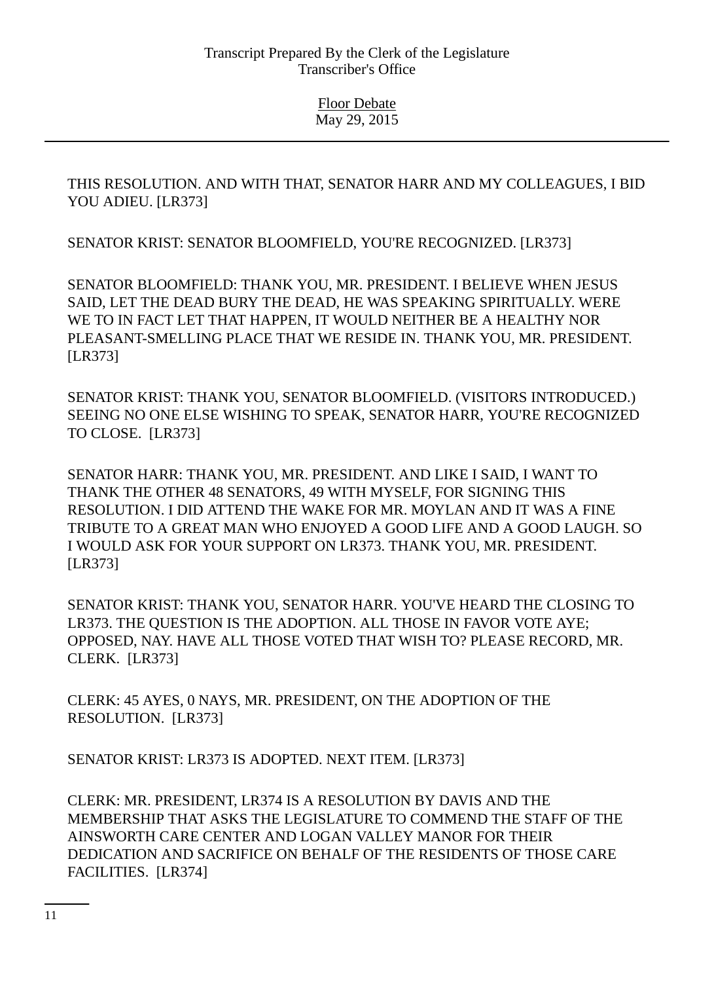THIS RESOLUTION. AND WITH THAT, SENATOR HARR AND MY COLLEAGUES, I BID YOU ADIEU. [LR373]

SENATOR KRIST: SENATOR BLOOMFIELD, YOU'RE RECOGNIZED. [LR373]

SENATOR BLOOMFIELD: THANK YOU, MR. PRESIDENT. I BELIEVE WHEN JESUS SAID, LET THE DEAD BURY THE DEAD, HE WAS SPEAKING SPIRITUALLY. WERE WE TO IN FACT LET THAT HAPPEN, IT WOULD NEITHER BE A HEALTHY NOR PLEASANT-SMELLING PLACE THAT WE RESIDE IN. THANK YOU, MR. PRESIDENT. [LR373]

SENATOR KRIST: THANK YOU, SENATOR BLOOMFIELD. (VISITORS INTRODUCED.) SEEING NO ONE ELSE WISHING TO SPEAK, SENATOR HARR, YOU'RE RECOGNIZED TO CLOSE. [LR373]

SENATOR HARR: THANK YOU, MR. PRESIDENT. AND LIKE I SAID, I WANT TO THANK THE OTHER 48 SENATORS, 49 WITH MYSELF, FOR SIGNING THIS RESOLUTION. I DID ATTEND THE WAKE FOR MR. MOYLAN AND IT WAS A FINE TRIBUTE TO A GREAT MAN WHO ENJOYED A GOOD LIFE AND A GOOD LAUGH. SO I WOULD ASK FOR YOUR SUPPORT ON LR373. THANK YOU, MR. PRESIDENT. [LR373]

SENATOR KRIST: THANK YOU, SENATOR HARR. YOU'VE HEARD THE CLOSING TO LR373. THE QUESTION IS THE ADOPTION. ALL THOSE IN FAVOR VOTE AYE; OPPOSED, NAY. HAVE ALL THOSE VOTED THAT WISH TO? PLEASE RECORD, MR. CLERK. [LR373]

CLERK: 45 AYES, 0 NAYS, MR. PRESIDENT, ON THE ADOPTION OF THE RESOLUTION. [LR373]

SENATOR KRIST: LR373 IS ADOPTED. NEXT ITEM. [LR373]

CLERK: MR. PRESIDENT, LR374 IS A RESOLUTION BY DAVIS AND THE MEMBERSHIP THAT ASKS THE LEGISLATURE TO COMMEND THE STAFF OF THE AINSWORTH CARE CENTER AND LOGAN VALLEY MANOR FOR THEIR DEDICATION AND SACRIFICE ON BEHALF OF THE RESIDENTS OF THOSE CARE FACILITIES. [LR374]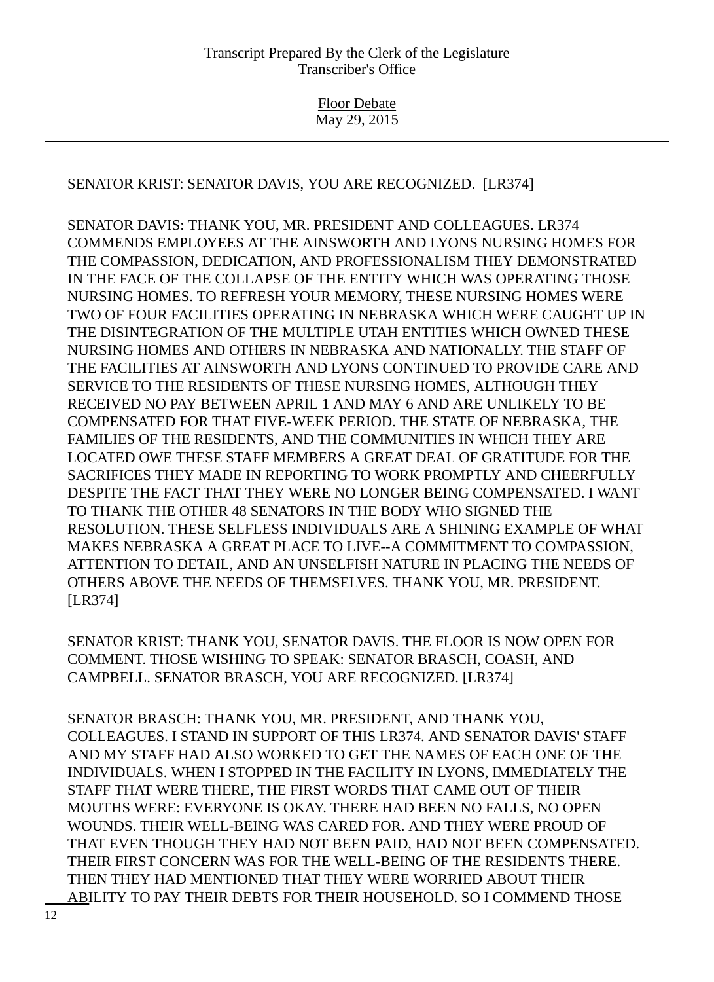> Floor Debate May 29, 2015

SENATOR KRIST: SENATOR DAVIS, YOU ARE RECOGNIZED. [LR374]

SENATOR DAVIS: THANK YOU, MR. PRESIDENT AND COLLEAGUES. LR374 COMMENDS EMPLOYEES AT THE AINSWORTH AND LYONS NURSING HOMES FOR THE COMPASSION, DEDICATION, AND PROFESSIONALISM THEY DEMONSTRATED IN THE FACE OF THE COLLAPSE OF THE ENTITY WHICH WAS OPERATING THOSE NURSING HOMES. TO REFRESH YOUR MEMORY, THESE NURSING HOMES WERE TWO OF FOUR FACILITIES OPERATING IN NEBRASKA WHICH WERE CAUGHT UP IN THE DISINTEGRATION OF THE MULTIPLE UTAH ENTITIES WHICH OWNED THESE NURSING HOMES AND OTHERS IN NEBRASKA AND NATIONALLY. THE STAFF OF THE FACILITIES AT AINSWORTH AND LYONS CONTINUED TO PROVIDE CARE AND SERVICE TO THE RESIDENTS OF THESE NURSING HOMES, ALTHOUGH THEY RECEIVED NO PAY BETWEEN APRIL 1 AND MAY 6 AND ARE UNLIKELY TO BE COMPENSATED FOR THAT FIVE-WEEK PERIOD. THE STATE OF NEBRASKA, THE FAMILIES OF THE RESIDENTS, AND THE COMMUNITIES IN WHICH THEY ARE LOCATED OWE THESE STAFF MEMBERS A GREAT DEAL OF GRATITUDE FOR THE SACRIFICES THEY MADE IN REPORTING TO WORK PROMPTLY AND CHEERFULLY DESPITE THE FACT THAT THEY WERE NO LONGER BEING COMPENSATED. I WANT TO THANK THE OTHER 48 SENATORS IN THE BODY WHO SIGNED THE RESOLUTION. THESE SELFLESS INDIVIDUALS ARE A SHINING EXAMPLE OF WHAT MAKES NEBRASKA A GREAT PLACE TO LIVE--A COMMITMENT TO COMPASSION, ATTENTION TO DETAIL, AND AN UNSELFISH NATURE IN PLACING THE NEEDS OF OTHERS ABOVE THE NEEDS OF THEMSELVES. THANK YOU, MR. PRESIDENT. [LR374]

SENATOR KRIST: THANK YOU, SENATOR DAVIS. THE FLOOR IS NOW OPEN FOR COMMENT. THOSE WISHING TO SPEAK: SENATOR BRASCH, COASH, AND CAMPBELL. SENATOR BRASCH, YOU ARE RECOGNIZED. [LR374]

SENATOR BRASCH: THANK YOU, MR. PRESIDENT, AND THANK YOU, COLLEAGUES. I STAND IN SUPPORT OF THIS LR374. AND SENATOR DAVIS' STAFF AND MY STAFF HAD ALSO WORKED TO GET THE NAMES OF EACH ONE OF THE INDIVIDUALS. WHEN I STOPPED IN THE FACILITY IN LYONS, IMMEDIATELY THE STAFF THAT WERE THERE, THE FIRST WORDS THAT CAME OUT OF THEIR MOUTHS WERE: EVERYONE IS OKAY. THERE HAD BEEN NO FALLS, NO OPEN WOUNDS. THEIR WELL-BEING WAS CARED FOR. AND THEY WERE PROUD OF THAT EVEN THOUGH THEY HAD NOT BEEN PAID, HAD NOT BEEN COMPENSATED. THEIR FIRST CONCERN WAS FOR THE WELL-BEING OF THE RESIDENTS THERE. THEN THEY HAD MENTIONED THAT THEY WERE WORRIED ABOUT THEIR ABILITY TO PAY THEIR DEBTS FOR THEIR HOUSEHOLD. SO I COMMEND THOSE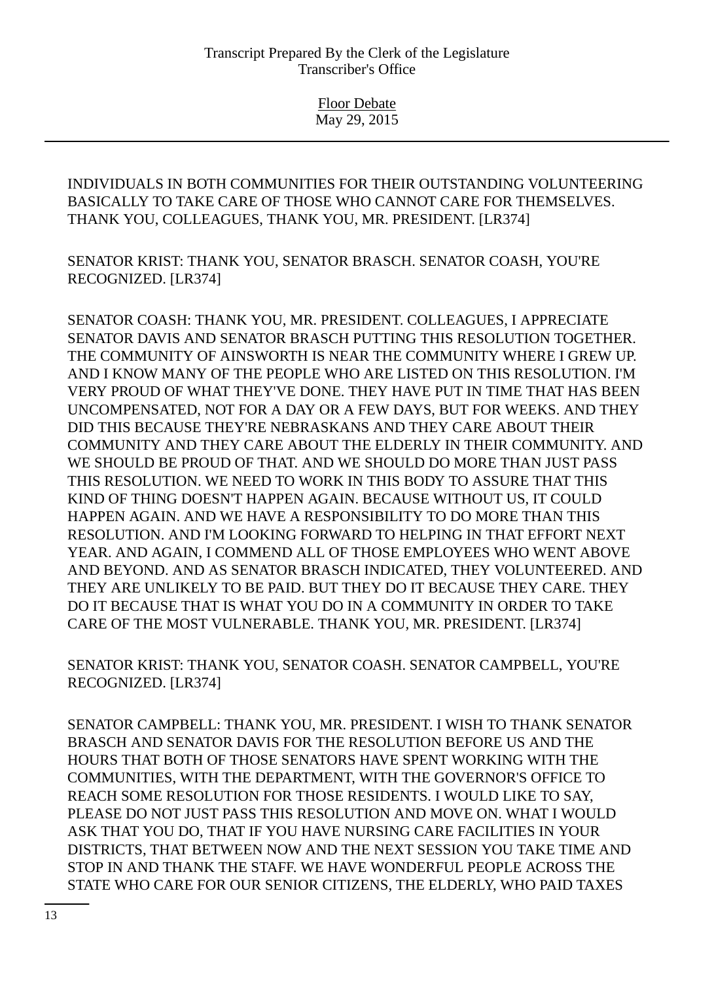Floor Debate May 29, 2015

INDIVIDUALS IN BOTH COMMUNITIES FOR THEIR OUTSTANDING VOLUNTEERING BASICALLY TO TAKE CARE OF THOSE WHO CANNOT CARE FOR THEMSELVES. THANK YOU, COLLEAGUES, THANK YOU, MR. PRESIDENT. [LR374]

SENATOR KRIST: THANK YOU, SENATOR BRASCH. SENATOR COASH, YOU'RE RECOGNIZED. [LR374]

SENATOR COASH: THANK YOU, MR. PRESIDENT. COLLEAGUES, I APPRECIATE SENATOR DAVIS AND SENATOR BRASCH PUTTING THIS RESOLUTION TOGETHER. THE COMMUNITY OF AINSWORTH IS NEAR THE COMMUNITY WHERE I GREW UP. AND I KNOW MANY OF THE PEOPLE WHO ARE LISTED ON THIS RESOLUTION. I'M VERY PROUD OF WHAT THEY'VE DONE. THEY HAVE PUT IN TIME THAT HAS BEEN UNCOMPENSATED, NOT FOR A DAY OR A FEW DAYS, BUT FOR WEEKS. AND THEY DID THIS BECAUSE THEY'RE NEBRASKANS AND THEY CARE ABOUT THEIR COMMUNITY AND THEY CARE ABOUT THE ELDERLY IN THEIR COMMUNITY. AND WE SHOULD BE PROUD OF THAT. AND WE SHOULD DO MORE THAN JUST PASS THIS RESOLUTION. WE NEED TO WORK IN THIS BODY TO ASSURE THAT THIS KIND OF THING DOESN'T HAPPEN AGAIN. BECAUSE WITHOUT US, IT COULD HAPPEN AGAIN. AND WE HAVE A RESPONSIBILITY TO DO MORE THAN THIS RESOLUTION. AND I'M LOOKING FORWARD TO HELPING IN THAT EFFORT NEXT YEAR. AND AGAIN, I COMMEND ALL OF THOSE EMPLOYEES WHO WENT ABOVE AND BEYOND. AND AS SENATOR BRASCH INDICATED, THEY VOLUNTEERED. AND THEY ARE UNLIKELY TO BE PAID. BUT THEY DO IT BECAUSE THEY CARE. THEY DO IT BECAUSE THAT IS WHAT YOU DO IN A COMMUNITY IN ORDER TO TAKE CARE OF THE MOST VULNERABLE. THANK YOU, MR. PRESIDENT. [LR374]

SENATOR KRIST: THANK YOU, SENATOR COASH. SENATOR CAMPBELL, YOU'RE RECOGNIZED. [LR374]

SENATOR CAMPBELL: THANK YOU, MR. PRESIDENT. I WISH TO THANK SENATOR BRASCH AND SENATOR DAVIS FOR THE RESOLUTION BEFORE US AND THE HOURS THAT BOTH OF THOSE SENATORS HAVE SPENT WORKING WITH THE COMMUNITIES, WITH THE DEPARTMENT, WITH THE GOVERNOR'S OFFICE TO REACH SOME RESOLUTION FOR THOSE RESIDENTS. I WOULD LIKE TO SAY, PLEASE DO NOT JUST PASS THIS RESOLUTION AND MOVE ON. WHAT I WOULD ASK THAT YOU DO, THAT IF YOU HAVE NURSING CARE FACILITIES IN YOUR DISTRICTS, THAT BETWEEN NOW AND THE NEXT SESSION YOU TAKE TIME AND STOP IN AND THANK THE STAFF. WE HAVE WONDERFUL PEOPLE ACROSS THE STATE WHO CARE FOR OUR SENIOR CITIZENS, THE ELDERLY, WHO PAID TAXES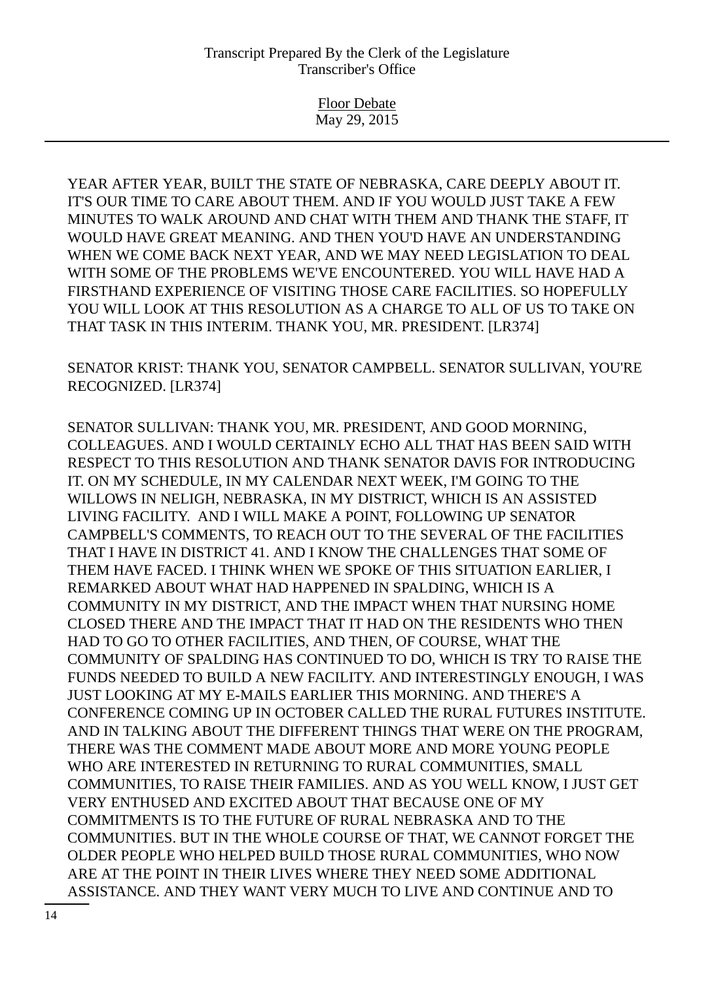Floor Debate May 29, 2015

YEAR AFTER YEAR, BUILT THE STATE OF NEBRASKA, CARE DEEPLY ABOUT IT. IT'S OUR TIME TO CARE ABOUT THEM. AND IF YOU WOULD JUST TAKE A FEW MINUTES TO WALK AROUND AND CHAT WITH THEM AND THANK THE STAFF, IT WOULD HAVE GREAT MEANING. AND THEN YOU'D HAVE AN UNDERSTANDING WHEN WE COME BACK NEXT YEAR, AND WE MAY NEED LEGISLATION TO DEAL WITH SOME OF THE PROBLEMS WE'VE ENCOUNTERED. YOU WILL HAVE HAD A FIRSTHAND EXPERIENCE OF VISITING THOSE CARE FACILITIES. SO HOPEFULLY YOU WILL LOOK AT THIS RESOLUTION AS A CHARGE TO ALL OF US TO TAKE ON THAT TASK IN THIS INTERIM. THANK YOU, MR. PRESIDENT. [LR374]

SENATOR KRIST: THANK YOU, SENATOR CAMPBELL. SENATOR SULLIVAN, YOU'RE RECOGNIZED. [LR374]

SENATOR SULLIVAN: THANK YOU, MR. PRESIDENT, AND GOOD MORNING, COLLEAGUES. AND I WOULD CERTAINLY ECHO ALL THAT HAS BEEN SAID WITH RESPECT TO THIS RESOLUTION AND THANK SENATOR DAVIS FOR INTRODUCING IT. ON MY SCHEDULE, IN MY CALENDAR NEXT WEEK, I'M GOING TO THE WILLOWS IN NELIGH, NEBRASKA, IN MY DISTRICT, WHICH IS AN ASSISTED LIVING FACILITY. AND I WILL MAKE A POINT, FOLLOWING UP SENATOR CAMPBELL'S COMMENTS, TO REACH OUT TO THE SEVERAL OF THE FACILITIES THAT I HAVE IN DISTRICT 41. AND I KNOW THE CHALLENGES THAT SOME OF THEM HAVE FACED. I THINK WHEN WE SPOKE OF THIS SITUATION EARLIER, I REMARKED ABOUT WHAT HAD HAPPENED IN SPALDING, WHICH IS A COMMUNITY IN MY DISTRICT, AND THE IMPACT WHEN THAT NURSING HOME CLOSED THERE AND THE IMPACT THAT IT HAD ON THE RESIDENTS WHO THEN HAD TO GO TO OTHER FACILITIES, AND THEN, OF COURSE, WHAT THE COMMUNITY OF SPALDING HAS CONTINUED TO DO, WHICH IS TRY TO RAISE THE FUNDS NEEDED TO BUILD A NEW FACILITY. AND INTERESTINGLY ENOUGH, I WAS JUST LOOKING AT MY E-MAILS EARLIER THIS MORNING. AND THERE'S A CONFERENCE COMING UP IN OCTOBER CALLED THE RURAL FUTURES INSTITUTE. AND IN TALKING ABOUT THE DIFFERENT THINGS THAT WERE ON THE PROGRAM, THERE WAS THE COMMENT MADE ABOUT MORE AND MORE YOUNG PEOPLE WHO ARE INTERESTED IN RETURNING TO RURAL COMMUNITIES, SMALL COMMUNITIES, TO RAISE THEIR FAMILIES. AND AS YOU WELL KNOW, I JUST GET VERY ENTHUSED AND EXCITED ABOUT THAT BECAUSE ONE OF MY COMMITMENTS IS TO THE FUTURE OF RURAL NEBRASKA AND TO THE COMMUNITIES. BUT IN THE WHOLE COURSE OF THAT, WE CANNOT FORGET THE OLDER PEOPLE WHO HELPED BUILD THOSE RURAL COMMUNITIES, WHO NOW ARE AT THE POINT IN THEIR LIVES WHERE THEY NEED SOME ADDITIONAL ASSISTANCE. AND THEY WANT VERY MUCH TO LIVE AND CONTINUE AND TO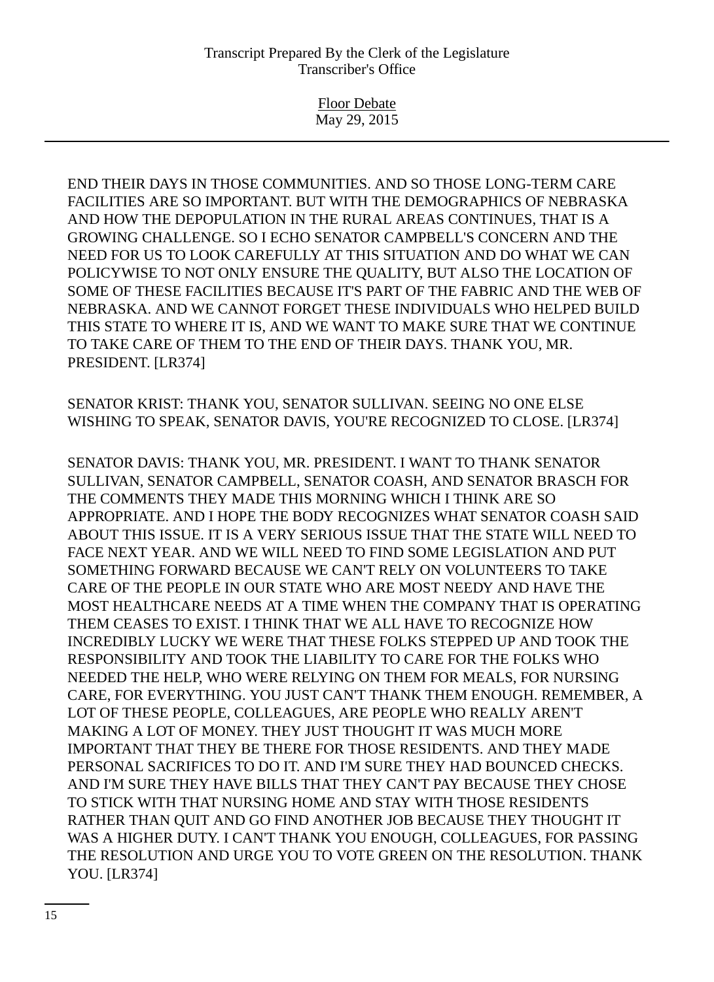Floor Debate May 29, 2015

END THEIR DAYS IN THOSE COMMUNITIES. AND SO THOSE LONG-TERM CARE FACILITIES ARE SO IMPORTANT. BUT WITH THE DEMOGRAPHICS OF NEBRASKA AND HOW THE DEPOPULATION IN THE RURAL AREAS CONTINUES, THAT IS A GROWING CHALLENGE. SO I ECHO SENATOR CAMPBELL'S CONCERN AND THE NEED FOR US TO LOOK CAREFULLY AT THIS SITUATION AND DO WHAT WE CAN POLICYWISE TO NOT ONLY ENSURE THE QUALITY, BUT ALSO THE LOCATION OF SOME OF THESE FACILITIES BECAUSE IT'S PART OF THE FABRIC AND THE WEB OF NEBRASKA. AND WE CANNOT FORGET THESE INDIVIDUALS WHO HELPED BUILD THIS STATE TO WHERE IT IS, AND WE WANT TO MAKE SURE THAT WE CONTINUE TO TAKE CARE OF THEM TO THE END OF THEIR DAYS. THANK YOU, MR. PRESIDENT. [LR374]

SENATOR KRIST: THANK YOU, SENATOR SULLIVAN. SEEING NO ONE ELSE WISHING TO SPEAK, SENATOR DAVIS, YOU'RE RECOGNIZED TO CLOSE. [LR374]

SENATOR DAVIS: THANK YOU, MR. PRESIDENT. I WANT TO THANK SENATOR SULLIVAN, SENATOR CAMPBELL, SENATOR COASH, AND SENATOR BRASCH FOR THE COMMENTS THEY MADE THIS MORNING WHICH I THINK ARE SO APPROPRIATE. AND I HOPE THE BODY RECOGNIZES WHAT SENATOR COASH SAID ABOUT THIS ISSUE. IT IS A VERY SERIOUS ISSUE THAT THE STATE WILL NEED TO FACE NEXT YEAR. AND WE WILL NEED TO FIND SOME LEGISLATION AND PUT SOMETHING FORWARD BECAUSE WE CAN'T RELY ON VOLUNTEERS TO TAKE CARE OF THE PEOPLE IN OUR STATE WHO ARE MOST NEEDY AND HAVE THE MOST HEALTHCARE NEEDS AT A TIME WHEN THE COMPANY THAT IS OPERATING THEM CEASES TO EXIST. I THINK THAT WE ALL HAVE TO RECOGNIZE HOW INCREDIBLY LUCKY WE WERE THAT THESE FOLKS STEPPED UP AND TOOK THE RESPONSIBILITY AND TOOK THE LIABILITY TO CARE FOR THE FOLKS WHO NEEDED THE HELP, WHO WERE RELYING ON THEM FOR MEALS, FOR NURSING CARE, FOR EVERYTHING. YOU JUST CAN'T THANK THEM ENOUGH. REMEMBER, A LOT OF THESE PEOPLE, COLLEAGUES, ARE PEOPLE WHO REALLY AREN'T MAKING A LOT OF MONEY. THEY JUST THOUGHT IT WAS MUCH MORE IMPORTANT THAT THEY BE THERE FOR THOSE RESIDENTS. AND THEY MADE PERSONAL SACRIFICES TO DO IT. AND I'M SURE THEY HAD BOUNCED CHECKS. AND I'M SURE THEY HAVE BILLS THAT THEY CAN'T PAY BECAUSE THEY CHOSE TO STICK WITH THAT NURSING HOME AND STAY WITH THOSE RESIDENTS RATHER THAN QUIT AND GO FIND ANOTHER JOB BECAUSE THEY THOUGHT IT WAS A HIGHER DUTY. I CAN'T THANK YOU ENOUGH, COLLEAGUES, FOR PASSING THE RESOLUTION AND URGE YOU TO VOTE GREEN ON THE RESOLUTION. THANK YOU. [LR374]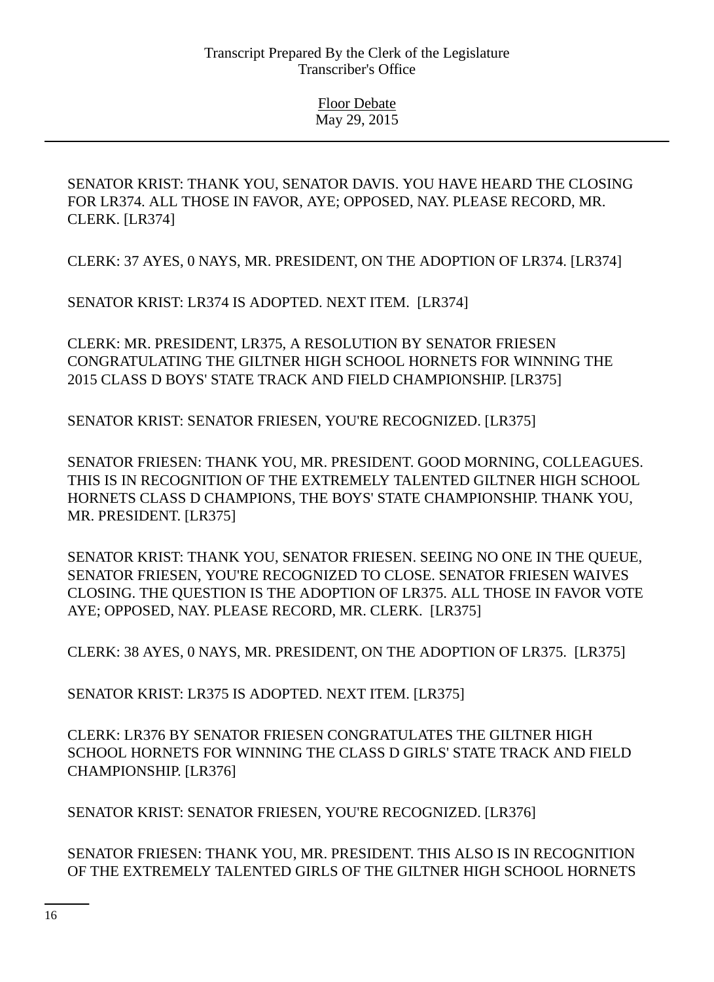SENATOR KRIST: THANK YOU, SENATOR DAVIS. YOU HAVE HEARD THE CLOSING FOR LR374. ALL THOSE IN FAVOR, AYE; OPPOSED, NAY. PLEASE RECORD, MR. CLERK. [LR374]

CLERK: 37 AYES, 0 NAYS, MR. PRESIDENT, ON THE ADOPTION OF LR374. [LR374]

SENATOR KRIST: LR374 IS ADOPTED. NEXT ITEM. [LR374]

CLERK: MR. PRESIDENT, LR375, A RESOLUTION BY SENATOR FRIESEN CONGRATULATING THE GILTNER HIGH SCHOOL HORNETS FOR WINNING THE 2015 CLASS D BOYS' STATE TRACK AND FIELD CHAMPIONSHIP. [LR375]

SENATOR KRIST: SENATOR FRIESEN, YOU'RE RECOGNIZED. [LR375]

SENATOR FRIESEN: THANK YOU, MR. PRESIDENT. GOOD MORNING, COLLEAGUES. THIS IS IN RECOGNITION OF THE EXTREMELY TALENTED GILTNER HIGH SCHOOL HORNETS CLASS D CHAMPIONS, THE BOYS' STATE CHAMPIONSHIP. THANK YOU, MR. PRESIDENT. [LR375]

SENATOR KRIST: THANK YOU, SENATOR FRIESEN. SEEING NO ONE IN THE QUEUE, SENATOR FRIESEN, YOU'RE RECOGNIZED TO CLOSE. SENATOR FRIESEN WAIVES CLOSING. THE QUESTION IS THE ADOPTION OF LR375. ALL THOSE IN FAVOR VOTE AYE; OPPOSED, NAY. PLEASE RECORD, MR. CLERK. [LR375]

CLERK: 38 AYES, 0 NAYS, MR. PRESIDENT, ON THE ADOPTION OF LR375. [LR375]

SENATOR KRIST: LR375 IS ADOPTED. NEXT ITEM. [LR375]

CLERK: LR376 BY SENATOR FRIESEN CONGRATULATES THE GILTNER HIGH SCHOOL HORNETS FOR WINNING THE CLASS D GIRLS' STATE TRACK AND FIELD CHAMPIONSHIP. [LR376]

SENATOR KRIST: SENATOR FRIESEN, YOU'RE RECOGNIZED. [LR376]

SENATOR FRIESEN: THANK YOU, MR. PRESIDENT. THIS ALSO IS IN RECOGNITION OF THE EXTREMELY TALENTED GIRLS OF THE GILTNER HIGH SCHOOL HORNETS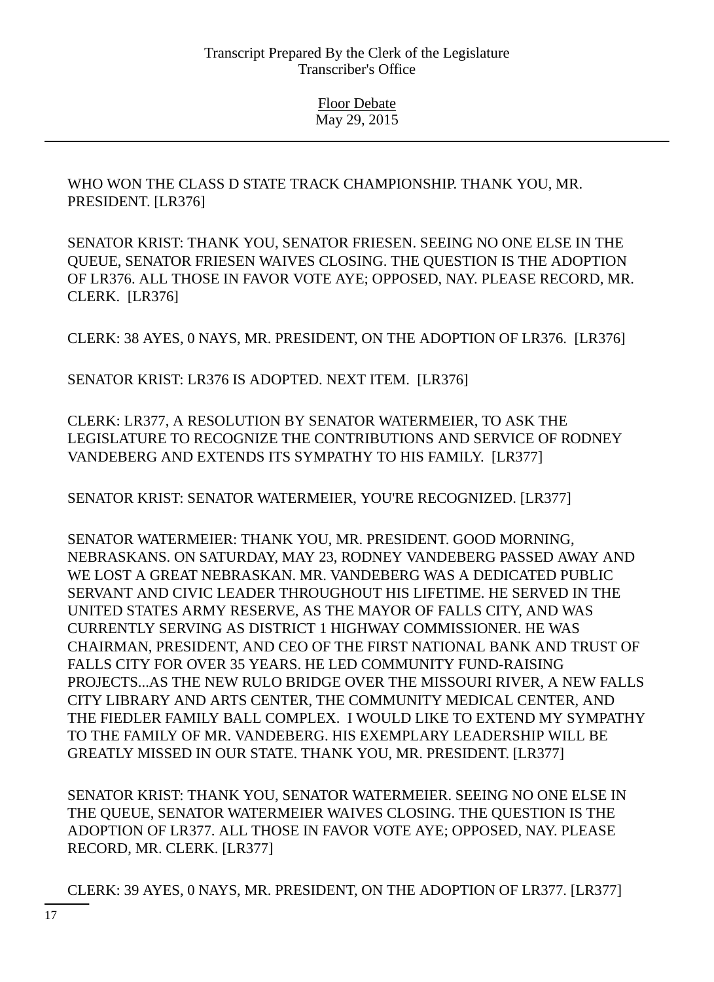WHO WON THE CLASS D STATE TRACK CHAMPIONSHIP. THANK YOU, MR. PRESIDENT. [LR376]

SENATOR KRIST: THANK YOU, SENATOR FRIESEN. SEEING NO ONE ELSE IN THE QUEUE, SENATOR FRIESEN WAIVES CLOSING. THE QUESTION IS THE ADOPTION OF LR376. ALL THOSE IN FAVOR VOTE AYE; OPPOSED, NAY. PLEASE RECORD, MR. CLERK. [LR376]

CLERK: 38 AYES, 0 NAYS, MR. PRESIDENT, ON THE ADOPTION OF LR376. [LR376]

SENATOR KRIST: LR376 IS ADOPTED. NEXT ITEM. [LR376]

CLERK: LR377, A RESOLUTION BY SENATOR WATERMEIER, TO ASK THE LEGISLATURE TO RECOGNIZE THE CONTRIBUTIONS AND SERVICE OF RODNEY VANDEBERG AND EXTENDS ITS SYMPATHY TO HIS FAMILY. [LR377]

SENATOR KRIST: SENATOR WATERMEIER, YOU'RE RECOGNIZED. [LR377]

SENATOR WATERMEIER: THANK YOU, MR. PRESIDENT. GOOD MORNING, NEBRASKANS. ON SATURDAY, MAY 23, RODNEY VANDEBERG PASSED AWAY AND WE LOST A GREAT NEBRASKAN. MR. VANDEBERG WAS A DEDICATED PUBLIC SERVANT AND CIVIC LEADER THROUGHOUT HIS LIFETIME. HE SERVED IN THE UNITED STATES ARMY RESERVE, AS THE MAYOR OF FALLS CITY, AND WAS CURRENTLY SERVING AS DISTRICT 1 HIGHWAY COMMISSIONER. HE WAS CHAIRMAN, PRESIDENT, AND CEO OF THE FIRST NATIONAL BANK AND TRUST OF FALLS CITY FOR OVER 35 YEARS. HE LED COMMUNITY FUND-RAISING PROJECTS...AS THE NEW RULO BRIDGE OVER THE MISSOURI RIVER, A NEW FALLS CITY LIBRARY AND ARTS CENTER, THE COMMUNITY MEDICAL CENTER, AND THE FIEDLER FAMILY BALL COMPLEX. I WOULD LIKE TO EXTEND MY SYMPATHY TO THE FAMILY OF MR. VANDEBERG. HIS EXEMPLARY LEADERSHIP WILL BE GREATLY MISSED IN OUR STATE. THANK YOU, MR. PRESIDENT. [LR377]

SENATOR KRIST: THANK YOU, SENATOR WATERMEIER. SEEING NO ONE ELSE IN THE QUEUE, SENATOR WATERMEIER WAIVES CLOSING. THE QUESTION IS THE ADOPTION OF LR377. ALL THOSE IN FAVOR VOTE AYE; OPPOSED, NAY. PLEASE RECORD, MR. CLERK. [LR377]

CLERK: 39 AYES, 0 NAYS, MR. PRESIDENT, ON THE ADOPTION OF LR377. [LR377]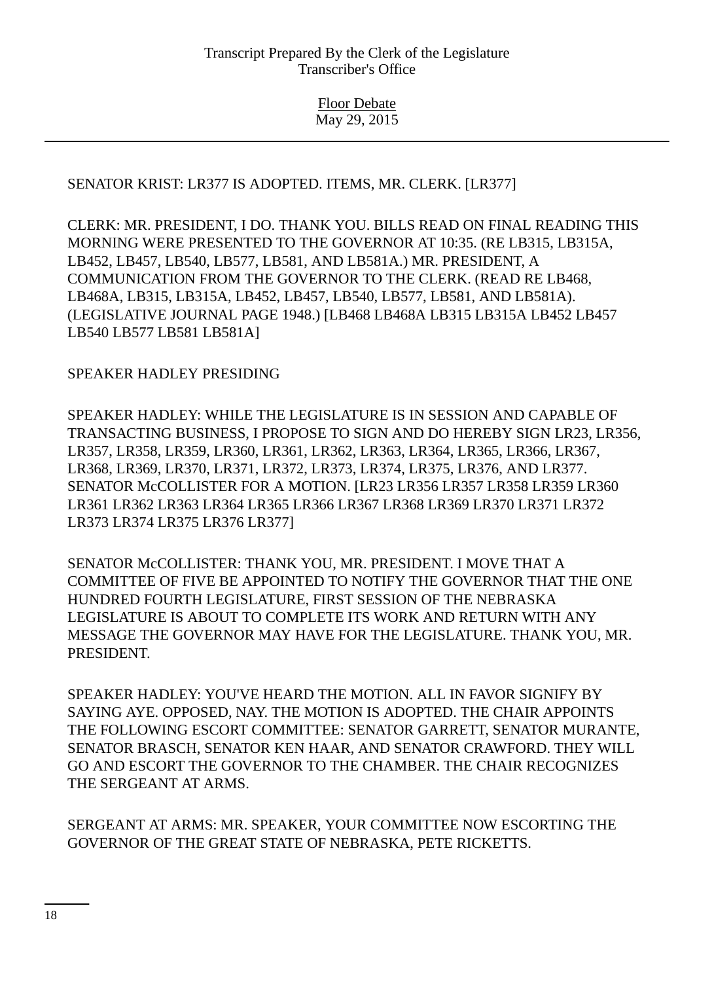## SENATOR KRIST: LR377 IS ADOPTED. ITEMS, MR. CLERK. [LR377]

CLERK: MR. PRESIDENT, I DO. THANK YOU. BILLS READ ON FINAL READING THIS MORNING WERE PRESENTED TO THE GOVERNOR AT 10:35. (RE LB315, LB315A, LB452, LB457, LB540, LB577, LB581, AND LB581A.) MR. PRESIDENT, A COMMUNICATION FROM THE GOVERNOR TO THE CLERK. (READ RE LB468, LB468A, LB315, LB315A, LB452, LB457, LB540, LB577, LB581, AND LB581A). (LEGISLATIVE JOURNAL PAGE 1948.) [LB468 LB468A LB315 LB315A LB452 LB457 LB540 LB577 LB581 LB581A]

## SPEAKER HADLEY PRESIDING

SPEAKER HADLEY: WHILE THE LEGISLATURE IS IN SESSION AND CAPABLE OF TRANSACTING BUSINESS, I PROPOSE TO SIGN AND DO HEREBY SIGN LR23, LR356, LR357, LR358, LR359, LR360, LR361, LR362, LR363, LR364, LR365, LR366, LR367, LR368, LR369, LR370, LR371, LR372, LR373, LR374, LR375, LR376, AND LR377. SENATOR McCOLLISTER FOR A MOTION. [LR23 LR356 LR357 LR358 LR359 LR360 LR361 LR362 LR363 LR364 LR365 LR366 LR367 LR368 LR369 LR370 LR371 LR372 LR373 LR374 LR375 LR376 LR377]

SENATOR McCOLLISTER: THANK YOU, MR. PRESIDENT. I MOVE THAT A COMMITTEE OF FIVE BE APPOINTED TO NOTIFY THE GOVERNOR THAT THE ONE HUNDRED FOURTH LEGISLATURE, FIRST SESSION OF THE NEBRASKA LEGISLATURE IS ABOUT TO COMPLETE ITS WORK AND RETURN WITH ANY MESSAGE THE GOVERNOR MAY HAVE FOR THE LEGISLATURE. THANK YOU, MR. PRESIDENT.

SPEAKER HADLEY: YOU'VE HEARD THE MOTION. ALL IN FAVOR SIGNIFY BY SAYING AYE. OPPOSED, NAY. THE MOTION IS ADOPTED. THE CHAIR APPOINTS THE FOLLOWING ESCORT COMMITTEE: SENATOR GARRETT, SENATOR MURANTE, SENATOR BRASCH, SENATOR KEN HAAR, AND SENATOR CRAWFORD. THEY WILL GO AND ESCORT THE GOVERNOR TO THE CHAMBER. THE CHAIR RECOGNIZES THE SERGEANT AT ARMS.

SERGEANT AT ARMS: MR. SPEAKER, YOUR COMMITTEE NOW ESCORTING THE GOVERNOR OF THE GREAT STATE OF NEBRASKA, PETE RICKETTS.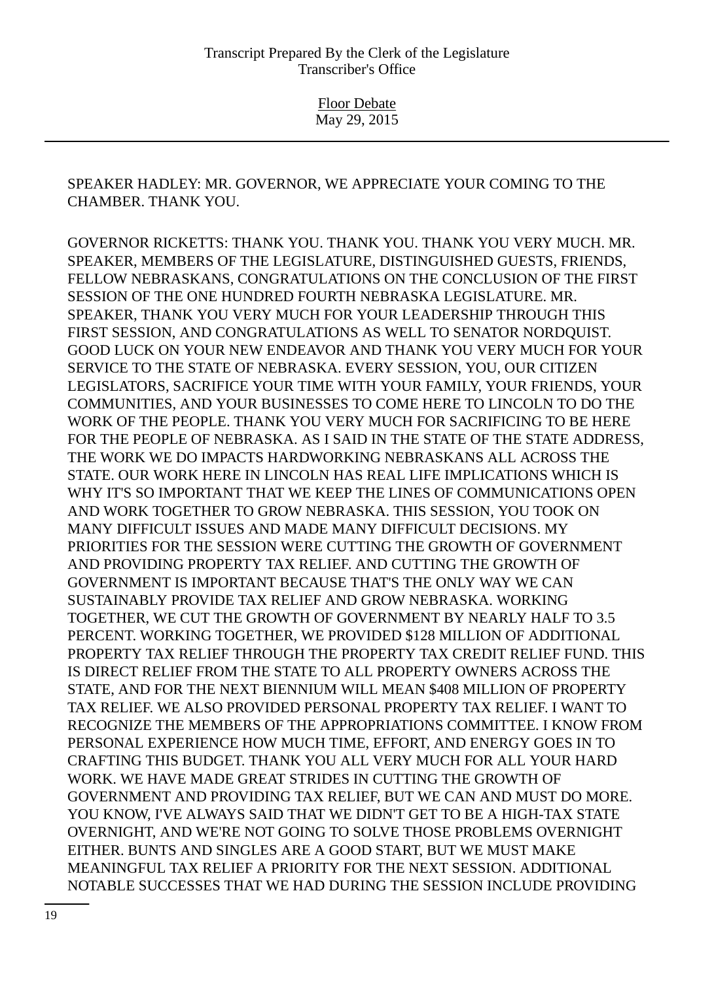SPEAKER HADLEY: MR. GOVERNOR, WE APPRECIATE YOUR COMING TO THE CHAMBER. THANK YOU.

GOVERNOR RICKETTS: THANK YOU. THANK YOU. THANK YOU VERY MUCH. MR. SPEAKER, MEMBERS OF THE LEGISLATURE, DISTINGUISHED GUESTS, FRIENDS, FELLOW NEBRASKANS, CONGRATULATIONS ON THE CONCLUSION OF THE FIRST SESSION OF THE ONE HUNDRED FOURTH NEBRASKA LEGISLATURE. MR. SPEAKER, THANK YOU VERY MUCH FOR YOUR LEADERSHIP THROUGH THIS FIRST SESSION, AND CONGRATULATIONS AS WELL TO SENATOR NORDQUIST. GOOD LUCK ON YOUR NEW ENDEAVOR AND THANK YOU VERY MUCH FOR YOUR SERVICE TO THE STATE OF NEBRASKA. EVERY SESSION, YOU, OUR CITIZEN LEGISLATORS, SACRIFICE YOUR TIME WITH YOUR FAMILY, YOUR FRIENDS, YOUR COMMUNITIES, AND YOUR BUSINESSES TO COME HERE TO LINCOLN TO DO THE WORK OF THE PEOPLE. THANK YOU VERY MUCH FOR SACRIFICING TO BE HERE FOR THE PEOPLE OF NEBRASKA. AS I SAID IN THE STATE OF THE STATE ADDRESS, THE WORK WE DO IMPACTS HARDWORKING NEBRASKANS ALL ACROSS THE STATE. OUR WORK HERE IN LINCOLN HAS REAL LIFE IMPLICATIONS WHICH IS WHY IT'S SO IMPORTANT THAT WE KEEP THE LINES OF COMMUNICATIONS OPEN AND WORK TOGETHER TO GROW NEBRASKA. THIS SESSION, YOU TOOK ON MANY DIFFICULT ISSUES AND MADE MANY DIFFICULT DECISIONS. MY PRIORITIES FOR THE SESSION WERE CUTTING THE GROWTH OF GOVERNMENT AND PROVIDING PROPERTY TAX RELIEF. AND CUTTING THE GROWTH OF GOVERNMENT IS IMPORTANT BECAUSE THAT'S THE ONLY WAY WE CAN SUSTAINABLY PROVIDE TAX RELIEF AND GROW NEBRASKA. WORKING TOGETHER, WE CUT THE GROWTH OF GOVERNMENT BY NEARLY HALF TO 3.5 PERCENT. WORKING TOGETHER, WE PROVIDED \$128 MILLION OF ADDITIONAL PROPERTY TAX RELIEF THROUGH THE PROPERTY TAX CREDIT RELIEF FUND. THIS IS DIRECT RELIEF FROM THE STATE TO ALL PROPERTY OWNERS ACROSS THE STATE, AND FOR THE NEXT BIENNIUM WILL MEAN \$408 MILLION OF PROPERTY TAX RELIEF. WE ALSO PROVIDED PERSONAL PROPERTY TAX RELIEF. I WANT TO RECOGNIZE THE MEMBERS OF THE APPROPRIATIONS COMMITTEE. I KNOW FROM PERSONAL EXPERIENCE HOW MUCH TIME, EFFORT, AND ENERGY GOES IN TO CRAFTING THIS BUDGET. THANK YOU ALL VERY MUCH FOR ALL YOUR HARD WORK. WE HAVE MADE GREAT STRIDES IN CUTTING THE GROWTH OF GOVERNMENT AND PROVIDING TAX RELIEF, BUT WE CAN AND MUST DO MORE. YOU KNOW, I'VE ALWAYS SAID THAT WE DIDN'T GET TO BE A HIGH-TAX STATE OVERNIGHT, AND WE'RE NOT GOING TO SOLVE THOSE PROBLEMS OVERNIGHT EITHER. BUNTS AND SINGLES ARE A GOOD START, BUT WE MUST MAKE MEANINGFUL TAX RELIEF A PRIORITY FOR THE NEXT SESSION. ADDITIONAL NOTABLE SUCCESSES THAT WE HAD DURING THE SESSION INCLUDE PROVIDING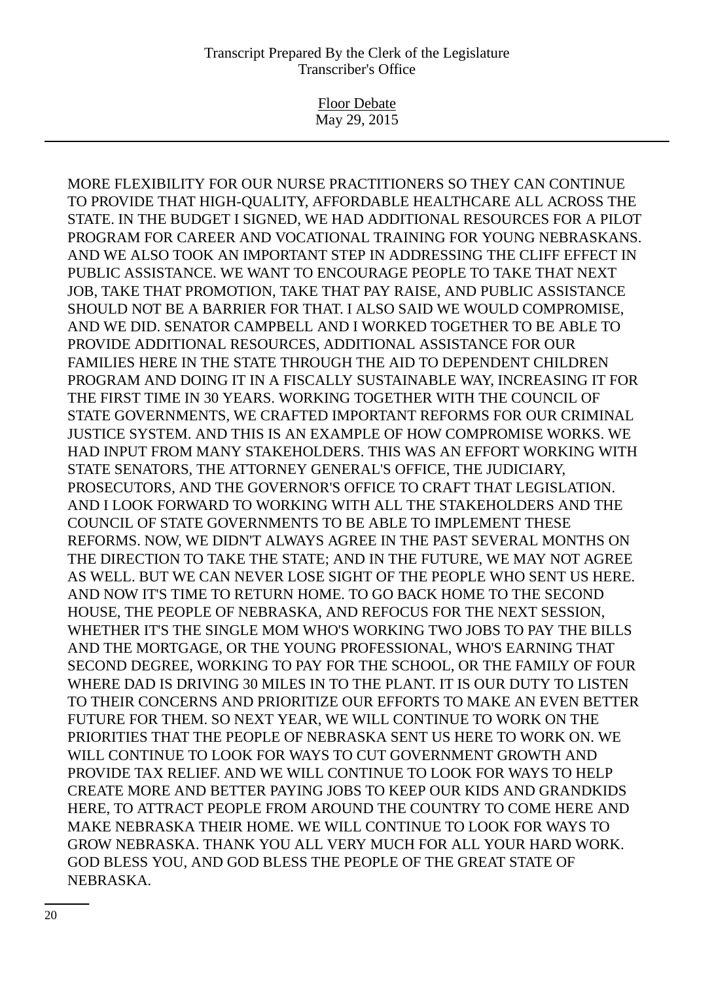Floor Debate May 29, 2015

MORE FLEXIBILITY FOR OUR NURSE PRACTITIONERS SO THEY CAN CONTINUE TO PROVIDE THAT HIGH-QUALITY, AFFORDABLE HEALTHCARE ALL ACROSS THE STATE. IN THE BUDGET I SIGNED, WE HAD ADDITIONAL RESOURCES FOR A PILOT PROGRAM FOR CAREER AND VOCATIONAL TRAINING FOR YOUNG NEBRASKANS. AND WE ALSO TOOK AN IMPORTANT STEP IN ADDRESSING THE CLIFF EFFECT IN PUBLIC ASSISTANCE. WE WANT TO ENCOURAGE PEOPLE TO TAKE THAT NEXT JOB, TAKE THAT PROMOTION, TAKE THAT PAY RAISE, AND PUBLIC ASSISTANCE SHOULD NOT BE A BARRIER FOR THAT. I ALSO SAID WE WOULD COMPROMISE, AND WE DID. SENATOR CAMPBELL AND I WORKED TOGETHER TO BE ABLE TO PROVIDE ADDITIONAL RESOURCES, ADDITIONAL ASSISTANCE FOR OUR FAMILIES HERE IN THE STATE THROUGH THE AID TO DEPENDENT CHILDREN PROGRAM AND DOING IT IN A FISCALLY SUSTAINABLE WAY, INCREASING IT FOR THE FIRST TIME IN 30 YEARS. WORKING TOGETHER WITH THE COUNCIL OF STATE GOVERNMENTS, WE CRAFTED IMPORTANT REFORMS FOR OUR CRIMINAL JUSTICE SYSTEM. AND THIS IS AN EXAMPLE OF HOW COMPROMISE WORKS. WE HAD INPUT FROM MANY STAKEHOLDERS. THIS WAS AN EFFORT WORKING WITH STATE SENATORS, THE ATTORNEY GENERAL'S OFFICE, THE JUDICIARY, PROSECUTORS, AND THE GOVERNOR'S OFFICE TO CRAFT THAT LEGISLATION. AND I LOOK FORWARD TO WORKING WITH ALL THE STAKEHOLDERS AND THE COUNCIL OF STATE GOVERNMENTS TO BE ABLE TO IMPLEMENT THESE REFORMS. NOW, WE DIDN'T ALWAYS AGREE IN THE PAST SEVERAL MONTHS ON THE DIRECTION TO TAKE THE STATE; AND IN THE FUTURE, WE MAY NOT AGREE AS WELL. BUT WE CAN NEVER LOSE SIGHT OF THE PEOPLE WHO SENT US HERE. AND NOW IT'S TIME TO RETURN HOME. TO GO BACK HOME TO THE SECOND HOUSE, THE PEOPLE OF NEBRASKA, AND REFOCUS FOR THE NEXT SESSION, WHETHER IT'S THE SINGLE MOM WHO'S WORKING TWO JOBS TO PAY THE BILLS AND THE MORTGAGE, OR THE YOUNG PROFESSIONAL, WHO'S EARNING THAT SECOND DEGREE, WORKING TO PAY FOR THE SCHOOL, OR THE FAMILY OF FOUR WHERE DAD IS DRIVING 30 MILES IN TO THE PLANT. IT IS OUR DUTY TO LISTEN TO THEIR CONCERNS AND PRIORITIZE OUR EFFORTS TO MAKE AN EVEN BETTER FUTURE FOR THEM. SO NEXT YEAR, WE WILL CONTINUE TO WORK ON THE PRIORITIES THAT THE PEOPLE OF NEBRASKA SENT US HERE TO WORK ON. WE WILL CONTINUE TO LOOK FOR WAYS TO CUT GOVERNMENT GROWTH AND PROVIDE TAX RELIEF. AND WE WILL CONTINUE TO LOOK FOR WAYS TO HELP CREATE MORE AND BETTER PAYING JOBS TO KEEP OUR KIDS AND GRANDKIDS HERE, TO ATTRACT PEOPLE FROM AROUND THE COUNTRY TO COME HERE AND MAKE NEBRASKA THEIR HOME. WE WILL CONTINUE TO LOOK FOR WAYS TO GROW NEBRASKA. THANK YOU ALL VERY MUCH FOR ALL YOUR HARD WORK. GOD BLESS YOU, AND GOD BLESS THE PEOPLE OF THE GREAT STATE OF NEBRASKA.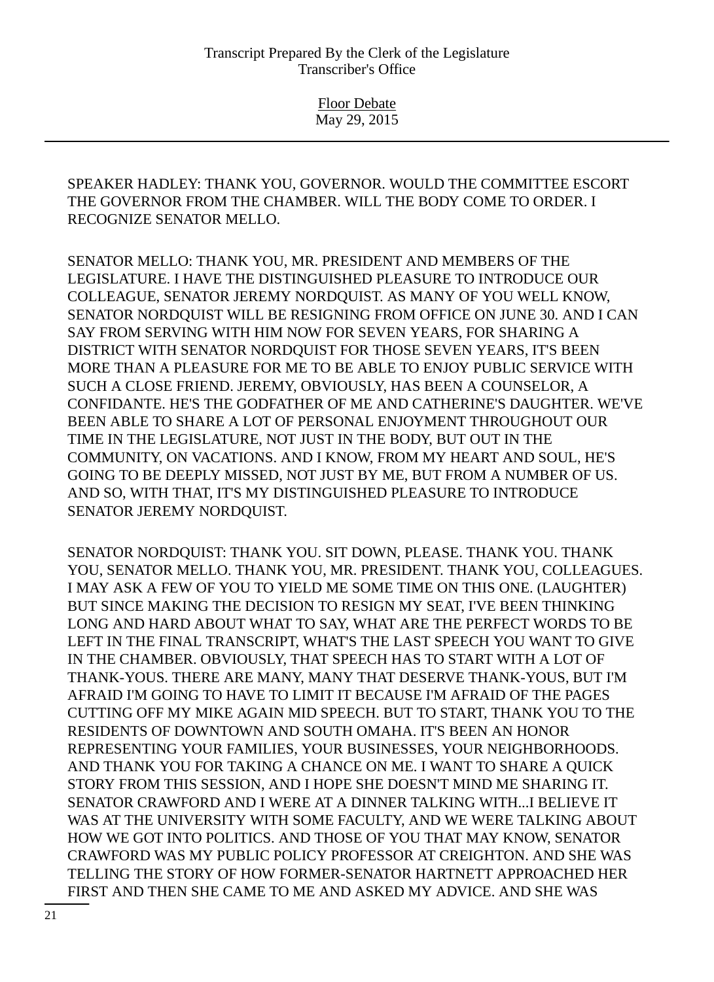> Floor Debate May 29, 2015

SPEAKER HADLEY: THANK YOU, GOVERNOR. WOULD THE COMMITTEE ESCORT THE GOVERNOR FROM THE CHAMBER. WILL THE BODY COME TO ORDER. I RECOGNIZE SENATOR MELLO.

SENATOR MELLO: THANK YOU, MR. PRESIDENT AND MEMBERS OF THE LEGISLATURE. I HAVE THE DISTINGUISHED PLEASURE TO INTRODUCE OUR COLLEAGUE, SENATOR JEREMY NORDQUIST. AS MANY OF YOU WELL KNOW, SENATOR NORDQUIST WILL BE RESIGNING FROM OFFICE ON JUNE 30. AND I CAN SAY FROM SERVING WITH HIM NOW FOR SEVEN YEARS, FOR SHARING A DISTRICT WITH SENATOR NORDQUIST FOR THOSE SEVEN YEARS, IT'S BEEN MORE THAN A PLEASURE FOR ME TO BE ABLE TO ENJOY PUBLIC SERVICE WITH SUCH A CLOSE FRIEND. JEREMY, OBVIOUSLY, HAS BEEN A COUNSELOR, A CONFIDANTE. HE'S THE GODFATHER OF ME AND CATHERINE'S DAUGHTER. WE'VE BEEN ABLE TO SHARE A LOT OF PERSONAL ENJOYMENT THROUGHOUT OUR TIME IN THE LEGISLATURE, NOT JUST IN THE BODY, BUT OUT IN THE COMMUNITY, ON VACATIONS. AND I KNOW, FROM MY HEART AND SOUL, HE'S GOING TO BE DEEPLY MISSED, NOT JUST BY ME, BUT FROM A NUMBER OF US. AND SO, WITH THAT, IT'S MY DISTINGUISHED PLEASURE TO INTRODUCE SENATOR JEREMY NORDQUIST.

SENATOR NORDQUIST: THANK YOU. SIT DOWN, PLEASE. THANK YOU. THANK YOU, SENATOR MELLO. THANK YOU, MR. PRESIDENT. THANK YOU, COLLEAGUES. I MAY ASK A FEW OF YOU TO YIELD ME SOME TIME ON THIS ONE. (LAUGHTER) BUT SINCE MAKING THE DECISION TO RESIGN MY SEAT, I'VE BEEN THINKING LONG AND HARD ABOUT WHAT TO SAY, WHAT ARE THE PERFECT WORDS TO BE LEFT IN THE FINAL TRANSCRIPT, WHAT'S THE LAST SPEECH YOU WANT TO GIVE IN THE CHAMBER. OBVIOUSLY, THAT SPEECH HAS TO START WITH A LOT OF THANK-YOUS. THERE ARE MANY, MANY THAT DESERVE THANK-YOUS, BUT I'M AFRAID I'M GOING TO HAVE TO LIMIT IT BECAUSE I'M AFRAID OF THE PAGES CUTTING OFF MY MIKE AGAIN MID SPEECH. BUT TO START, THANK YOU TO THE RESIDENTS OF DOWNTOWN AND SOUTH OMAHA. IT'S BEEN AN HONOR REPRESENTING YOUR FAMILIES, YOUR BUSINESSES, YOUR NEIGHBORHOODS. AND THANK YOU FOR TAKING A CHANCE ON ME. I WANT TO SHARE A QUICK STORY FROM THIS SESSION, AND I HOPE SHE DOESN'T MIND ME SHARING IT. SENATOR CRAWFORD AND I WERE AT A DINNER TALKING WITH...I BELIEVE IT WAS AT THE UNIVERSITY WITH SOME FACULTY, AND WE WERE TALKING ABOUT HOW WE GOT INTO POLITICS. AND THOSE OF YOU THAT MAY KNOW, SENATOR CRAWFORD WAS MY PUBLIC POLICY PROFESSOR AT CREIGHTON. AND SHE WAS TELLING THE STORY OF HOW FORMER-SENATOR HARTNETT APPROACHED HER FIRST AND THEN SHE CAME TO ME AND ASKED MY ADVICE. AND SHE WAS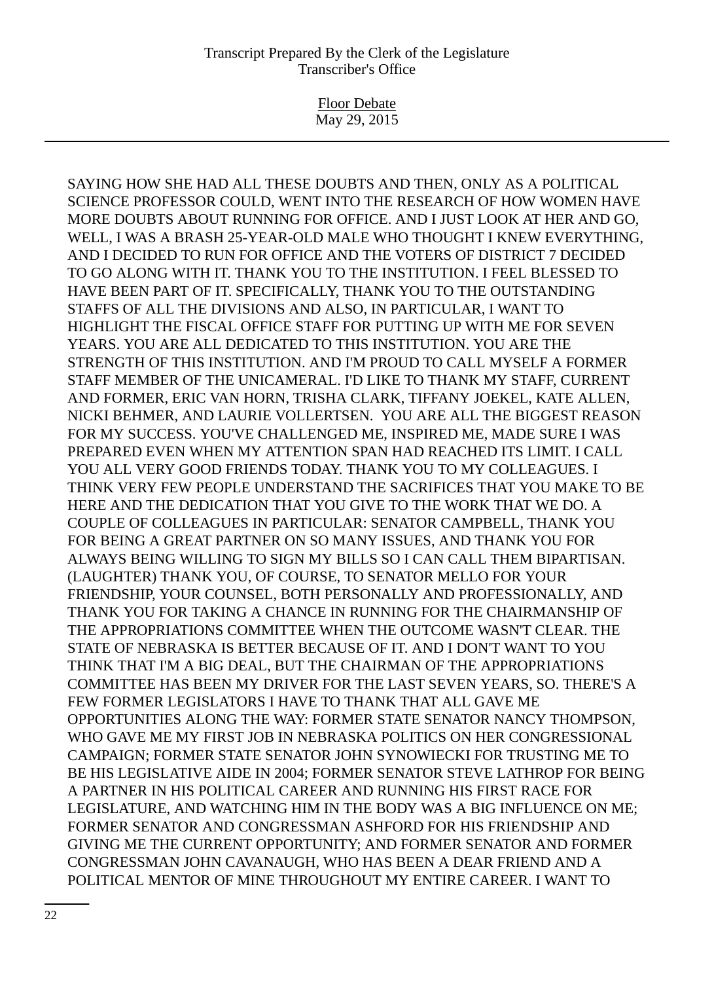Floor Debate May 29, 2015

SAYING HOW SHE HAD ALL THESE DOUBTS AND THEN, ONLY AS A POLITICAL SCIENCE PROFESSOR COULD, WENT INTO THE RESEARCH OF HOW WOMEN HAVE MORE DOUBTS ABOUT RUNNING FOR OFFICE. AND I JUST LOOK AT HER AND GO, WELL, I WAS A BRASH 25-YEAR-OLD MALE WHO THOUGHT I KNEW EVERYTHING, AND I DECIDED TO RUN FOR OFFICE AND THE VOTERS OF DISTRICT 7 DECIDED TO GO ALONG WITH IT. THANK YOU TO THE INSTITUTION. I FEEL BLESSED TO HAVE BEEN PART OF IT. SPECIFICALLY, THANK YOU TO THE OUTSTANDING STAFFS OF ALL THE DIVISIONS AND ALSO, IN PARTICULAR, I WANT TO HIGHLIGHT THE FISCAL OFFICE STAFF FOR PUTTING UP WITH ME FOR SEVEN YEARS. YOU ARE ALL DEDICATED TO THIS INSTITUTION. YOU ARE THE STRENGTH OF THIS INSTITUTION. AND I'M PROUD TO CALL MYSELF A FORMER STAFF MEMBER OF THE UNICAMERAL. I'D LIKE TO THANK MY STAFF, CURRENT AND FORMER, ERIC VAN HORN, TRISHA CLARK, TIFFANY JOEKEL, KATE ALLEN, NICKI BEHMER, AND LAURIE VOLLERTSEN. YOU ARE ALL THE BIGGEST REASON FOR MY SUCCESS. YOU'VE CHALLENGED ME, INSPIRED ME, MADE SURE I WAS PREPARED EVEN WHEN MY ATTENTION SPAN HAD REACHED ITS LIMIT. I CALL YOU ALL VERY GOOD FRIENDS TODAY. THANK YOU TO MY COLLEAGUES. I THINK VERY FEW PEOPLE UNDERSTAND THE SACRIFICES THAT YOU MAKE TO BE HERE AND THE DEDICATION THAT YOU GIVE TO THE WORK THAT WE DO. A COUPLE OF COLLEAGUES IN PARTICULAR: SENATOR CAMPBELL, THANK YOU FOR BEING A GREAT PARTNER ON SO MANY ISSUES, AND THANK YOU FOR ALWAYS BEING WILLING TO SIGN MY BILLS SO I CAN CALL THEM BIPARTISAN. (LAUGHTER) THANK YOU, OF COURSE, TO SENATOR MELLO FOR YOUR FRIENDSHIP, YOUR COUNSEL, BOTH PERSONALLY AND PROFESSIONALLY, AND THANK YOU FOR TAKING A CHANCE IN RUNNING FOR THE CHAIRMANSHIP OF THE APPROPRIATIONS COMMITTEE WHEN THE OUTCOME WASN'T CLEAR. THE STATE OF NEBRASKA IS BETTER BECAUSE OF IT. AND I DON'T WANT TO YOU THINK THAT I'M A BIG DEAL, BUT THE CHAIRMAN OF THE APPROPRIATIONS COMMITTEE HAS BEEN MY DRIVER FOR THE LAST SEVEN YEARS, SO. THERE'S A FEW FORMER LEGISLATORS I HAVE TO THANK THAT ALL GAVE ME OPPORTUNITIES ALONG THE WAY: FORMER STATE SENATOR NANCY THOMPSON, WHO GAVE ME MY FIRST JOB IN NEBRASKA POLITICS ON HER CONGRESSIONAL CAMPAIGN; FORMER STATE SENATOR JOHN SYNOWIECKI FOR TRUSTING ME TO BE HIS LEGISLATIVE AIDE IN 2004; FORMER SENATOR STEVE LATHROP FOR BEING A PARTNER IN HIS POLITICAL CAREER AND RUNNING HIS FIRST RACE FOR LEGISLATURE, AND WATCHING HIM IN THE BODY WAS A BIG INFLUENCE ON ME; FORMER SENATOR AND CONGRESSMAN ASHFORD FOR HIS FRIENDSHIP AND GIVING ME THE CURRENT OPPORTUNITY; AND FORMER SENATOR AND FORMER CONGRESSMAN JOHN CAVANAUGH, WHO HAS BEEN A DEAR FRIEND AND A POLITICAL MENTOR OF MINE THROUGHOUT MY ENTIRE CAREER. I WANT TO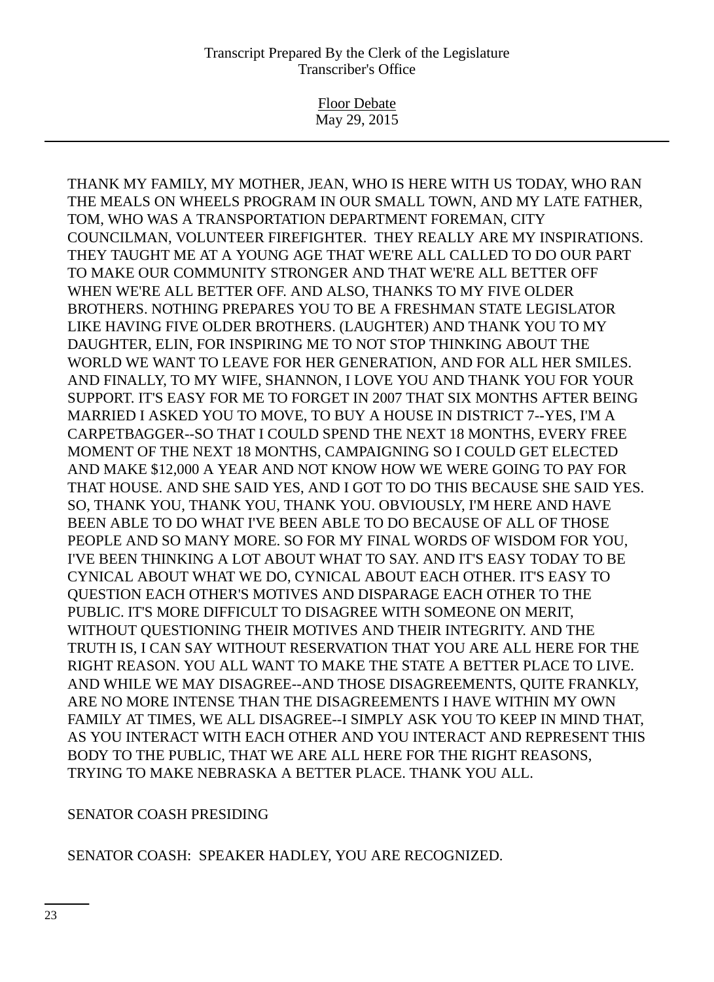Floor Debate May 29, 2015

THANK MY FAMILY, MY MOTHER, JEAN, WHO IS HERE WITH US TODAY, WHO RAN THE MEALS ON WHEELS PROGRAM IN OUR SMALL TOWN, AND MY LATE FATHER, TOM, WHO WAS A TRANSPORTATION DEPARTMENT FOREMAN, CITY COUNCILMAN, VOLUNTEER FIREFIGHTER. THEY REALLY ARE MY INSPIRATIONS. THEY TAUGHT ME AT A YOUNG AGE THAT WE'RE ALL CALLED TO DO OUR PART TO MAKE OUR COMMUNITY STRONGER AND THAT WE'RE ALL BETTER OFF WHEN WE'RE ALL BETTER OFF. AND ALSO, THANKS TO MY FIVE OLDER BROTHERS. NOTHING PREPARES YOU TO BE A FRESHMAN STATE LEGISLATOR LIKE HAVING FIVE OLDER BROTHERS. (LAUGHTER) AND THANK YOU TO MY DAUGHTER, ELIN, FOR INSPIRING ME TO NOT STOP THINKING ABOUT THE WORLD WE WANT TO LEAVE FOR HER GENERATION, AND FOR ALL HER SMILES. AND FINALLY, TO MY WIFE, SHANNON, I LOVE YOU AND THANK YOU FOR YOUR SUPPORT. IT'S EASY FOR ME TO FORGET IN 2007 THAT SIX MONTHS AFTER BEING MARRIED I ASKED YOU TO MOVE, TO BUY A HOUSE IN DISTRICT 7--YES, I'M A CARPETBAGGER--SO THAT I COULD SPEND THE NEXT 18 MONTHS, EVERY FREE MOMENT OF THE NEXT 18 MONTHS, CAMPAIGNING SO I COULD GET ELECTED AND MAKE \$12,000 A YEAR AND NOT KNOW HOW WE WERE GOING TO PAY FOR THAT HOUSE. AND SHE SAID YES, AND I GOT TO DO THIS BECAUSE SHE SAID YES. SO, THANK YOU, THANK YOU, THANK YOU. OBVIOUSLY, I'M HERE AND HAVE BEEN ABLE TO DO WHAT I'VE BEEN ABLE TO DO BECAUSE OF ALL OF THOSE PEOPLE AND SO MANY MORE. SO FOR MY FINAL WORDS OF WISDOM FOR YOU, I'VE BEEN THINKING A LOT ABOUT WHAT TO SAY. AND IT'S EASY TODAY TO BE CYNICAL ABOUT WHAT WE DO, CYNICAL ABOUT EACH OTHER. IT'S EASY TO QUESTION EACH OTHER'S MOTIVES AND DISPARAGE EACH OTHER TO THE PUBLIC. IT'S MORE DIFFICULT TO DISAGREE WITH SOMEONE ON MERIT, WITHOUT QUESTIONING THEIR MOTIVES AND THEIR INTEGRITY. AND THE TRUTH IS, I CAN SAY WITHOUT RESERVATION THAT YOU ARE ALL HERE FOR THE RIGHT REASON. YOU ALL WANT TO MAKE THE STATE A BETTER PLACE TO LIVE. AND WHILE WE MAY DISAGREE--AND THOSE DISAGREEMENTS, QUITE FRANKLY, ARE NO MORE INTENSE THAN THE DISAGREEMENTS I HAVE WITHIN MY OWN FAMILY AT TIMES, WE ALL DISAGREE--I SIMPLY ASK YOU TO KEEP IN MIND THAT, AS YOU INTERACT WITH EACH OTHER AND YOU INTERACT AND REPRESENT THIS BODY TO THE PUBLIC, THAT WE ARE ALL HERE FOR THE RIGHT REASONS, TRYING TO MAKE NEBRASKA A BETTER PLACE. THANK YOU ALL.

## SENATOR COASH PRESIDING

# SENATOR COASH: SPEAKER HADLEY, YOU ARE RECOGNIZED.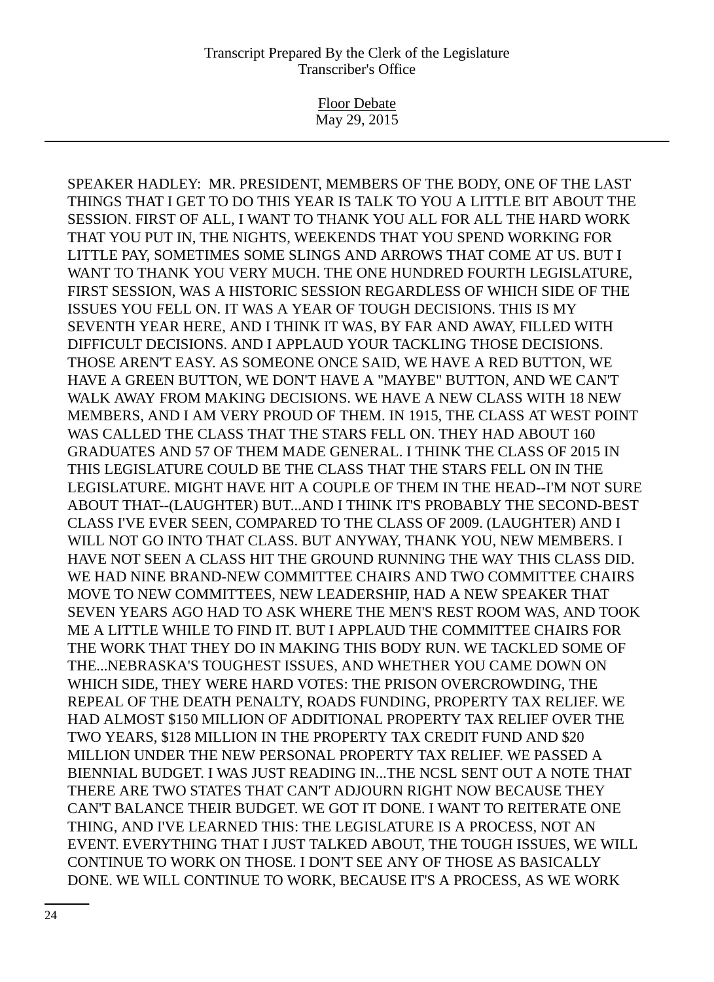Floor Debate May 29, 2015

SPEAKER HADLEY: MR. PRESIDENT, MEMBERS OF THE BODY, ONE OF THE LAST THINGS THAT I GET TO DO THIS YEAR IS TALK TO YOU A LITTLE BIT ABOUT THE SESSION. FIRST OF ALL, I WANT TO THANK YOU ALL FOR ALL THE HARD WORK THAT YOU PUT IN, THE NIGHTS, WEEKENDS THAT YOU SPEND WORKING FOR LITTLE PAY, SOMETIMES SOME SLINGS AND ARROWS THAT COME AT US. BUT I WANT TO THANK YOU VERY MUCH. THE ONE HUNDRED FOURTH LEGISLATURE, FIRST SESSION, WAS A HISTORIC SESSION REGARDLESS OF WHICH SIDE OF THE ISSUES YOU FELL ON. IT WAS A YEAR OF TOUGH DECISIONS. THIS IS MY SEVENTH YEAR HERE, AND I THINK IT WAS, BY FAR AND AWAY, FILLED WITH DIFFICULT DECISIONS. AND I APPLAUD YOUR TACKLING THOSE DECISIONS. THOSE AREN'T EASY. AS SOMEONE ONCE SAID, WE HAVE A RED BUTTON, WE HAVE A GREEN BUTTON, WE DON'T HAVE A "MAYBE" BUTTON, AND WE CAN'T WALK AWAY FROM MAKING DECISIONS. WE HAVE A NEW CLASS WITH 18 NEW MEMBERS, AND I AM VERY PROUD OF THEM. IN 1915, THE CLASS AT WEST POINT WAS CALLED THE CLASS THAT THE STARS FELL ON. THEY HAD ABOUT 160 GRADUATES AND 57 OF THEM MADE GENERAL. I THINK THE CLASS OF 2015 IN THIS LEGISLATURE COULD BE THE CLASS THAT THE STARS FELL ON IN THE LEGISLATURE. MIGHT HAVE HIT A COUPLE OF THEM IN THE HEAD--I'M NOT SURE ABOUT THAT--(LAUGHTER) BUT...AND I THINK IT'S PROBABLY THE SECOND-BEST CLASS I'VE EVER SEEN, COMPARED TO THE CLASS OF 2009. (LAUGHTER) AND I WILL NOT GO INTO THAT CLASS. BUT ANYWAY, THANK YOU, NEW MEMBERS. I HAVE NOT SEEN A CLASS HIT THE GROUND RUNNING THE WAY THIS CLASS DID. WE HAD NINE BRAND-NEW COMMITTEE CHAIRS AND TWO COMMITTEE CHAIRS MOVE TO NEW COMMITTEES, NEW LEADERSHIP, HAD A NEW SPEAKER THAT SEVEN YEARS AGO HAD TO ASK WHERE THE MEN'S REST ROOM WAS, AND TOOK ME A LITTLE WHILE TO FIND IT. BUT I APPLAUD THE COMMITTEE CHAIRS FOR THE WORK THAT THEY DO IN MAKING THIS BODY RUN. WE TACKLED SOME OF THE...NEBRASKA'S TOUGHEST ISSUES, AND WHETHER YOU CAME DOWN ON WHICH SIDE, THEY WERE HARD VOTES: THE PRISON OVERCROWDING, THE REPEAL OF THE DEATH PENALTY, ROADS FUNDING, PROPERTY TAX RELIEF. WE HAD ALMOST \$150 MILLION OF ADDITIONAL PROPERTY TAX RELIEF OVER THE TWO YEARS, \$128 MILLION IN THE PROPERTY TAX CREDIT FUND AND \$20 MILLION UNDER THE NEW PERSONAL PROPERTY TAX RELIEF. WE PASSED A BIENNIAL BUDGET. I WAS JUST READING IN...THE NCSL SENT OUT A NOTE THAT THERE ARE TWO STATES THAT CAN'T ADJOURN RIGHT NOW BECAUSE THEY CAN'T BALANCE THEIR BUDGET. WE GOT IT DONE. I WANT TO REITERATE ONE THING, AND I'VE LEARNED THIS: THE LEGISLATURE IS A PROCESS, NOT AN EVENT. EVERYTHING THAT I JUST TALKED ABOUT, THE TOUGH ISSUES, WE WILL CONTINUE TO WORK ON THOSE. I DON'T SEE ANY OF THOSE AS BASICALLY DONE. WE WILL CONTINUE TO WORK, BECAUSE IT'S A PROCESS, AS WE WORK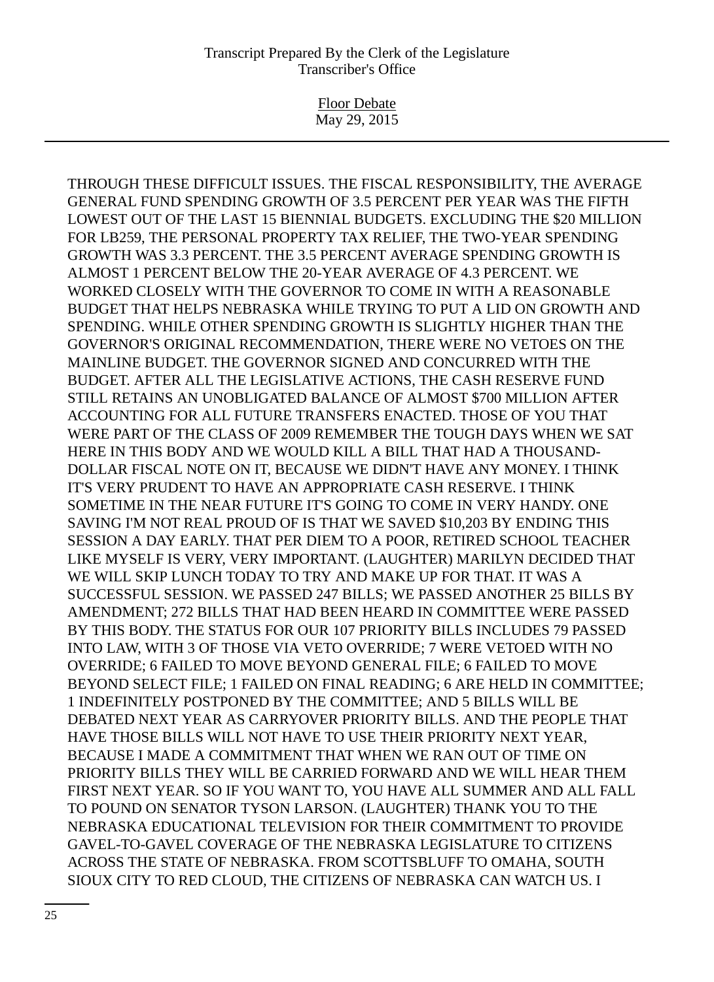Floor Debate May 29, 2015

THROUGH THESE DIFFICULT ISSUES. THE FISCAL RESPONSIBILITY, THE AVERAGE GENERAL FUND SPENDING GROWTH OF 3.5 PERCENT PER YEAR WAS THE FIFTH LOWEST OUT OF THE LAST 15 BIENNIAL BUDGETS. EXCLUDING THE \$20 MILLION FOR LB259, THE PERSONAL PROPERTY TAX RELIEF, THE TWO-YEAR SPENDING GROWTH WAS 3.3 PERCENT. THE 3.5 PERCENT AVERAGE SPENDING GROWTH IS ALMOST 1 PERCENT BELOW THE 20-YEAR AVERAGE OF 4.3 PERCENT. WE WORKED CLOSELY WITH THE GOVERNOR TO COME IN WITH A REASONABLE BUDGET THAT HELPS NEBRASKA WHILE TRYING TO PUT A LID ON GROWTH AND SPENDING. WHILE OTHER SPENDING GROWTH IS SLIGHTLY HIGHER THAN THE GOVERNOR'S ORIGINAL RECOMMENDATION, THERE WERE NO VETOES ON THE MAINLINE BUDGET. THE GOVERNOR SIGNED AND CONCURRED WITH THE BUDGET. AFTER ALL THE LEGISLATIVE ACTIONS, THE CASH RESERVE FUND STILL RETAINS AN UNOBLIGATED BALANCE OF ALMOST \$700 MILLION AFTER ACCOUNTING FOR ALL FUTURE TRANSFERS ENACTED. THOSE OF YOU THAT WERE PART OF THE CLASS OF 2009 REMEMBER THE TOUGH DAYS WHEN WE SAT HERE IN THIS BODY AND WE WOULD KILL A BILL THAT HAD A THOUSAND-DOLLAR FISCAL NOTE ON IT, BECAUSE WE DIDN'T HAVE ANY MONEY. I THINK IT'S VERY PRUDENT TO HAVE AN APPROPRIATE CASH RESERVE. I THINK SOMETIME IN THE NEAR FUTURE IT'S GOING TO COME IN VERY HANDY. ONE SAVING I'M NOT REAL PROUD OF IS THAT WE SAVED \$10,203 BY ENDING THIS SESSION A DAY EARLY. THAT PER DIEM TO A POOR, RETIRED SCHOOL TEACHER LIKE MYSELF IS VERY, VERY IMPORTANT. (LAUGHTER) MARILYN DECIDED THAT WE WILL SKIP LUNCH TODAY TO TRY AND MAKE UP FOR THAT. IT WAS A SUCCESSFUL SESSION. WE PASSED 247 BILLS; WE PASSED ANOTHER 25 BILLS BY AMENDMENT; 272 BILLS THAT HAD BEEN HEARD IN COMMITTEE WERE PASSED BY THIS BODY. THE STATUS FOR OUR 107 PRIORITY BILLS INCLUDES 79 PASSED INTO LAW, WITH 3 OF THOSE VIA VETO OVERRIDE; 7 WERE VETOED WITH NO OVERRIDE; 6 FAILED TO MOVE BEYOND GENERAL FILE; 6 FAILED TO MOVE BEYOND SELECT FILE; 1 FAILED ON FINAL READING; 6 ARE HELD IN COMMITTEE; 1 INDEFINITELY POSTPONED BY THE COMMITTEE; AND 5 BILLS WILL BE DEBATED NEXT YEAR AS CARRYOVER PRIORITY BILLS. AND THE PEOPLE THAT HAVE THOSE BILLS WILL NOT HAVE TO USE THEIR PRIORITY NEXT YEAR, BECAUSE I MADE A COMMITMENT THAT WHEN WE RAN OUT OF TIME ON PRIORITY BILLS THEY WILL BE CARRIED FORWARD AND WE WILL HEAR THEM FIRST NEXT YEAR. SO IF YOU WANT TO, YOU HAVE ALL SUMMER AND ALL FALL TO POUND ON SENATOR TYSON LARSON. (LAUGHTER) THANK YOU TO THE NEBRASKA EDUCATIONAL TELEVISION FOR THEIR COMMITMENT TO PROVIDE GAVEL-TO-GAVEL COVERAGE OF THE NEBRASKA LEGISLATURE TO CITIZENS ACROSS THE STATE OF NEBRASKA. FROM SCOTTSBLUFF TO OMAHA, SOUTH SIOUX CITY TO RED CLOUD, THE CITIZENS OF NEBRASKA CAN WATCH US. I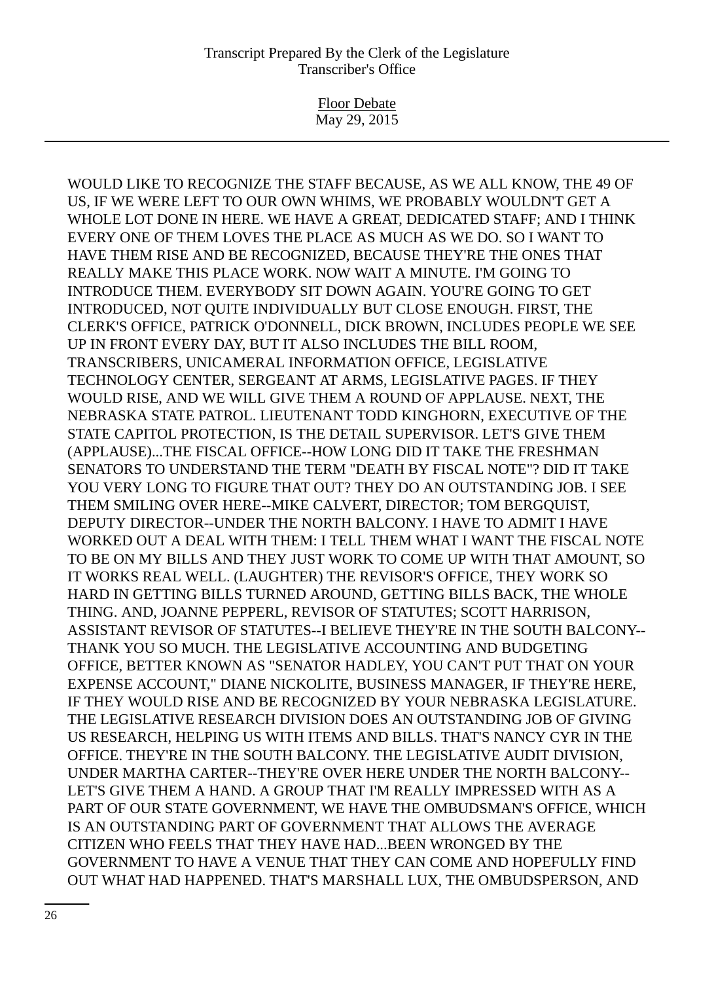Floor Debate May 29, 2015

WOULD LIKE TO RECOGNIZE THE STAFF BECAUSE, AS WE ALL KNOW, THE 49 OF US, IF WE WERE LEFT TO OUR OWN WHIMS, WE PROBABLY WOULDN'T GET A WHOLE LOT DONE IN HERE. WE HAVE A GREAT, DEDICATED STAFF; AND I THINK EVERY ONE OF THEM LOVES THE PLACE AS MUCH AS WE DO. SO I WANT TO HAVE THEM RISE AND BE RECOGNIZED, BECAUSE THEY'RE THE ONES THAT REALLY MAKE THIS PLACE WORK. NOW WAIT A MINUTE. I'M GOING TO INTRODUCE THEM. EVERYBODY SIT DOWN AGAIN. YOU'RE GOING TO GET INTRODUCED, NOT QUITE INDIVIDUALLY BUT CLOSE ENOUGH. FIRST, THE CLERK'S OFFICE, PATRICK O'DONNELL, DICK BROWN, INCLUDES PEOPLE WE SEE UP IN FRONT EVERY DAY, BUT IT ALSO INCLUDES THE BILL ROOM, TRANSCRIBERS, UNICAMERAL INFORMATION OFFICE, LEGISLATIVE TECHNOLOGY CENTER, SERGEANT AT ARMS, LEGISLATIVE PAGES. IF THEY WOULD RISE, AND WE WILL GIVE THEM A ROUND OF APPLAUSE. NEXT, THE NEBRASKA STATE PATROL. LIEUTENANT TODD KINGHORN, EXECUTIVE OF THE STATE CAPITOL PROTECTION, IS THE DETAIL SUPERVISOR. LET'S GIVE THEM (APPLAUSE)...THE FISCAL OFFICE--HOW LONG DID IT TAKE THE FRESHMAN SENATORS TO UNDERSTAND THE TERM "DEATH BY FISCAL NOTE"? DID IT TAKE YOU VERY LONG TO FIGURE THAT OUT? THEY DO AN OUTSTANDING JOB. I SEE THEM SMILING OVER HERE--MIKE CALVERT, DIRECTOR; TOM BERGQUIST, DEPUTY DIRECTOR--UNDER THE NORTH BALCONY. I HAVE TO ADMIT I HAVE WORKED OUT A DEAL WITH THEM: I TELL THEM WHAT I WANT THE FISCAL NOTE TO BE ON MY BILLS AND THEY JUST WORK TO COME UP WITH THAT AMOUNT, SO IT WORKS REAL WELL. (LAUGHTER) THE REVISOR'S OFFICE, THEY WORK SO HARD IN GETTING BILLS TURNED AROUND, GETTING BILLS BACK, THE WHOLE THING. AND, JOANNE PEPPERL, REVISOR OF STATUTES; SCOTT HARRISON, ASSISTANT REVISOR OF STATUTES--I BELIEVE THEY'RE IN THE SOUTH BALCONY-- THANK YOU SO MUCH. THE LEGISLATIVE ACCOUNTING AND BUDGETING OFFICE, BETTER KNOWN AS "SENATOR HADLEY, YOU CAN'T PUT THAT ON YOUR EXPENSE ACCOUNT," DIANE NICKOLITE, BUSINESS MANAGER, IF THEY'RE HERE, IF THEY WOULD RISE AND BE RECOGNIZED BY YOUR NEBRASKA LEGISLATURE. THE LEGISLATIVE RESEARCH DIVISION DOES AN OUTSTANDING JOB OF GIVING US RESEARCH, HELPING US WITH ITEMS AND BILLS. THAT'S NANCY CYR IN THE OFFICE. THEY'RE IN THE SOUTH BALCONY. THE LEGISLATIVE AUDIT DIVISION, UNDER MARTHA CARTER--THEY'RE OVER HERE UNDER THE NORTH BALCONY-- LET'S GIVE THEM A HAND. A GROUP THAT I'M REALLY IMPRESSED WITH AS A PART OF OUR STATE GOVERNMENT, WE HAVE THE OMBUDSMAN'S OFFICE, WHICH IS AN OUTSTANDING PART OF GOVERNMENT THAT ALLOWS THE AVERAGE CITIZEN WHO FEELS THAT THEY HAVE HAD...BEEN WRONGED BY THE GOVERNMENT TO HAVE A VENUE THAT THEY CAN COME AND HOPEFULLY FIND OUT WHAT HAD HAPPENED. THAT'S MARSHALL LUX, THE OMBUDSPERSON, AND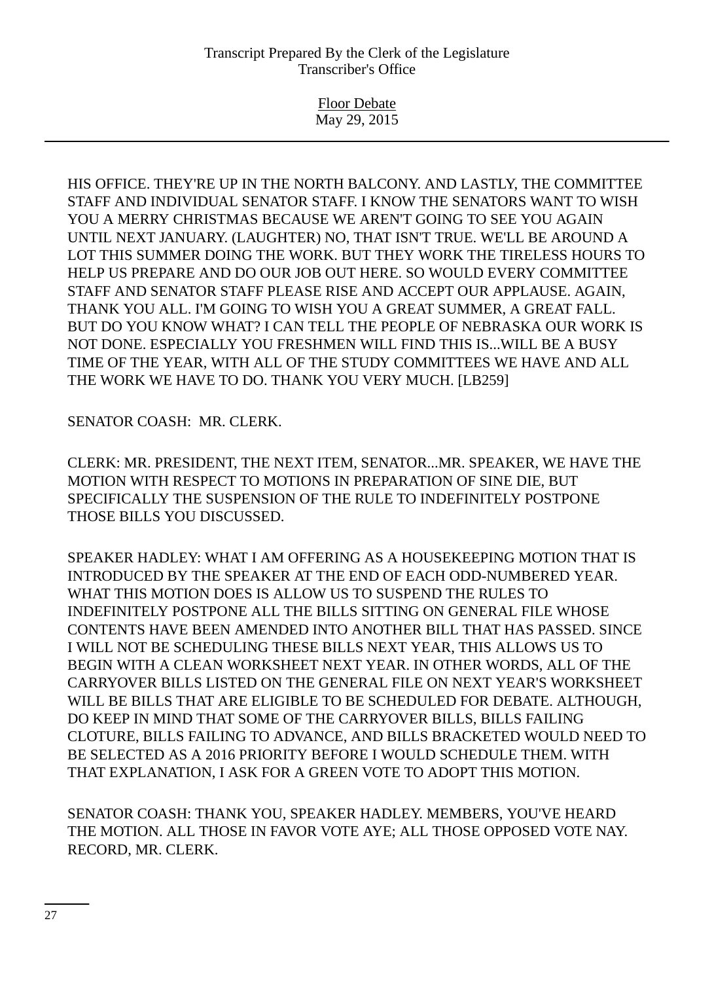Floor Debate May 29, 2015

HIS OFFICE. THEY'RE UP IN THE NORTH BALCONY. AND LASTLY, THE COMMITTEE STAFF AND INDIVIDUAL SENATOR STAFF. I KNOW THE SENATORS WANT TO WISH YOU A MERRY CHRISTMAS BECAUSE WE AREN'T GOING TO SEE YOU AGAIN UNTIL NEXT JANUARY. (LAUGHTER) NO, THAT ISN'T TRUE. WE'LL BE AROUND A LOT THIS SUMMER DOING THE WORK. BUT THEY WORK THE TIRELESS HOURS TO HELP US PREPARE AND DO OUR JOB OUT HERE. SO WOULD EVERY COMMITTEE STAFF AND SENATOR STAFF PLEASE RISE AND ACCEPT OUR APPLAUSE. AGAIN, THANK YOU ALL. I'M GOING TO WISH YOU A GREAT SUMMER, A GREAT FALL. BUT DO YOU KNOW WHAT? I CAN TELL THE PEOPLE OF NEBRASKA OUR WORK IS NOT DONE. ESPECIALLY YOU FRESHMEN WILL FIND THIS IS...WILL BE A BUSY TIME OF THE YEAR, WITH ALL OF THE STUDY COMMITTEES WE HAVE AND ALL THE WORK WE HAVE TO DO. THANK YOU VERY MUCH. [LB259]

## SENATOR COASH: MR. CLERK.

CLERK: MR. PRESIDENT, THE NEXT ITEM, SENATOR...MR. SPEAKER, WE HAVE THE MOTION WITH RESPECT TO MOTIONS IN PREPARATION OF SINE DIE, BUT SPECIFICALLY THE SUSPENSION OF THE RULE TO INDEFINITELY POSTPONE THOSE BILLS YOU DISCUSSED.

SPEAKER HADLEY: WHAT I AM OFFERING AS A HOUSEKEEPING MOTION THAT IS INTRODUCED BY THE SPEAKER AT THE END OF EACH ODD-NUMBERED YEAR. WHAT THIS MOTION DOES IS ALLOW US TO SUSPEND THE RULES TO INDEFINITELY POSTPONE ALL THE BILLS SITTING ON GENERAL FILE WHOSE CONTENTS HAVE BEEN AMENDED INTO ANOTHER BILL THAT HAS PASSED. SINCE I WILL NOT BE SCHEDULING THESE BILLS NEXT YEAR, THIS ALLOWS US TO BEGIN WITH A CLEAN WORKSHEET NEXT YEAR. IN OTHER WORDS, ALL OF THE CARRYOVER BILLS LISTED ON THE GENERAL FILE ON NEXT YEAR'S WORKSHEET WILL BE BILLS THAT ARE ELIGIBLE TO BE SCHEDULED FOR DEBATE. ALTHOUGH, DO KEEP IN MIND THAT SOME OF THE CARRYOVER BILLS, BILLS FAILING CLOTURE, BILLS FAILING TO ADVANCE, AND BILLS BRACKETED WOULD NEED TO BE SELECTED AS A 2016 PRIORITY BEFORE I WOULD SCHEDULE THEM. WITH THAT EXPLANATION, I ASK FOR A GREEN VOTE TO ADOPT THIS MOTION.

SENATOR COASH: THANK YOU, SPEAKER HADLEY. MEMBERS, YOU'VE HEARD THE MOTION. ALL THOSE IN FAVOR VOTE AYE; ALL THOSE OPPOSED VOTE NAY. RECORD, MR. CLERK.